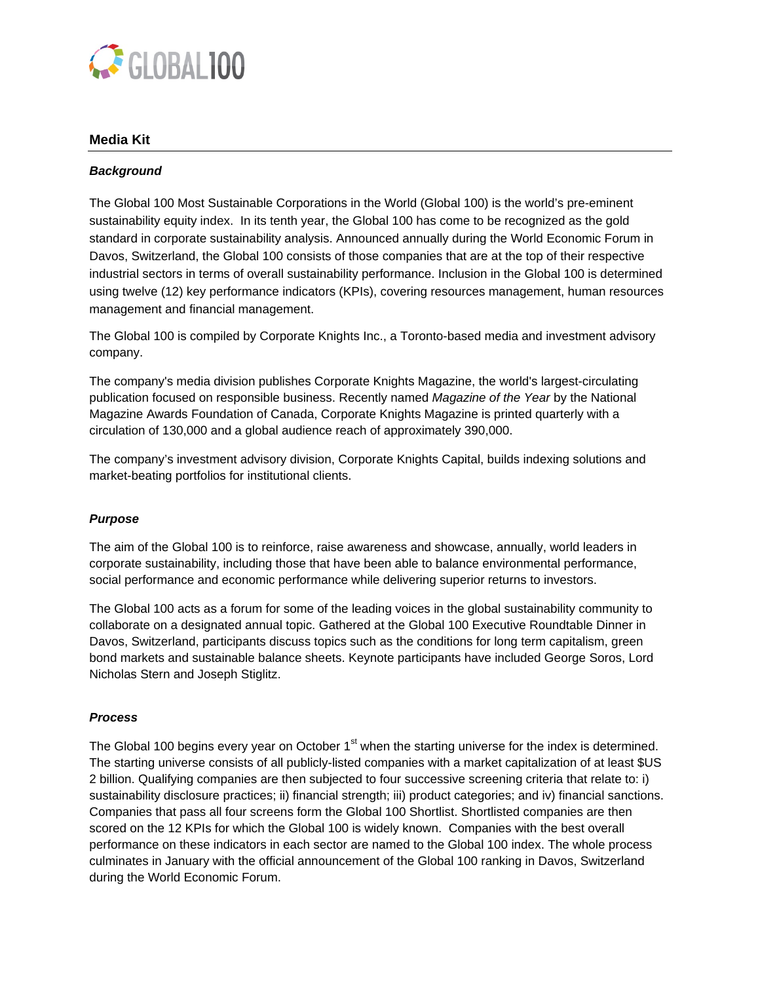

# **Media Kit**

## *Background*

The Global 100 Most Sustainable Corporations in the World (Global 100) is the world's pre-eminent sustainability equity index. In its tenth year, the Global 100 has come to be recognized as the gold standard in corporate sustainability analysis. Announced annually during the World Economic Forum in Davos, Switzerland, the Global 100 consists of those companies that are at the top of their respective industrial sectors in terms of overall sustainability performance. Inclusion in the Global 100 is determined using twelve (12) key performance indicators (KPIs), covering resources management, human resources management and financial management.

The Global 100 is compiled by Corporate Knights Inc., a Toronto-based media and investment advisory company.

The company's media division publishes Corporate Knights Magazine, the world's largest-circulating publication focused on responsible business. Recently named *Magazine of the Year* by the National Magazine Awards Foundation of Canada, Corporate Knights Magazine is printed quarterly with a circulation of 130,000 and a global audience reach of approximately 390,000.

The company's investment advisory division, Corporate Knights Capital, builds indexing solutions and market-beating portfolios for institutional clients.

## *Purpose*

The aim of the Global 100 is to reinforce, raise awareness and showcase, annually, world leaders in corporate sustainability, including those that have been able to balance environmental performance, social performance and economic performance while delivering superior returns to investors.

The Global 100 acts as a forum for some of the leading voices in the global sustainability community to collaborate on a designated annual topic. Gathered at the Global 100 Executive Roundtable Dinner in Davos, Switzerland, participants discuss topics such as the conditions for long term capitalism, green bond markets and sustainable balance sheets. Keynote participants have included George Soros, Lord Nicholas Stern and Joseph Stiglitz.

## *Process*

The Global 100 begins every year on October 1<sup>st</sup> when the starting universe for the index is determined. The starting universe consists of all publicly-listed companies with a market capitalization of at least \$US 2 billion. Qualifying companies are then subjected to four successive screening criteria that relate to: i) sustainability disclosure practices; ii) financial strength; iii) product categories; and iv) financial sanctions. Companies that pass all four screens form the Global 100 Shortlist. Shortlisted companies are then scored on the 12 KPIs for which the Global 100 is widely known. Companies with the best overall performance on these indicators in each sector are named to the Global 100 index. The whole process culminates in January with the official announcement of the Global 100 ranking in Davos, Switzerland during the World Economic Forum.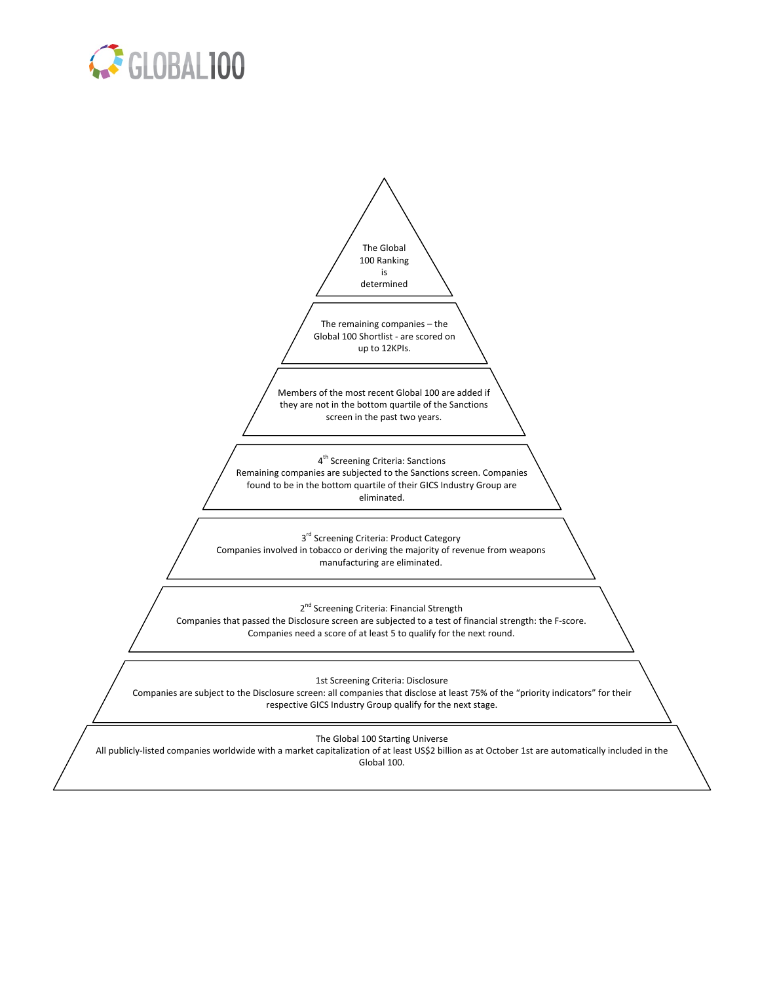

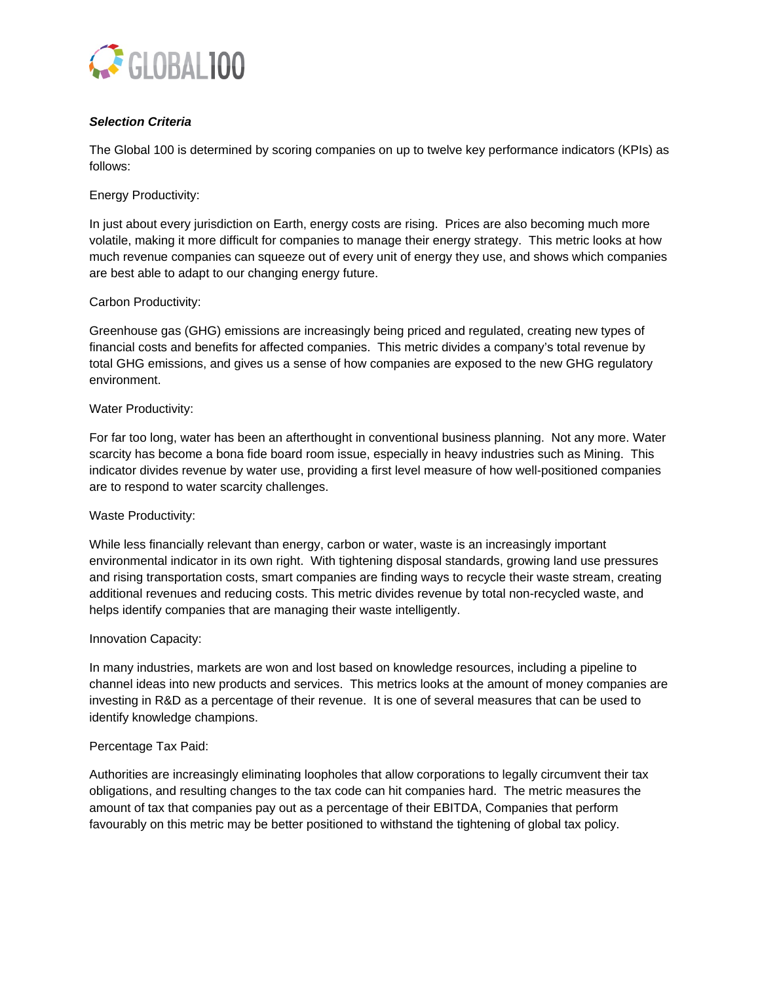

# *Selection Criteria*

The Global 100 is determined by scoring companies on up to twelve key performance indicators (KPIs) as follows:

Energy Productivity:

In just about every jurisdiction on Earth, energy costs are rising. Prices are also becoming much more volatile, making it more difficult for companies to manage their energy strategy. This metric looks at how much revenue companies can squeeze out of every unit of energy they use, and shows which companies are best able to adapt to our changing energy future.

## Carbon Productivity:

Greenhouse gas (GHG) emissions are increasingly being priced and regulated, creating new types of financial costs and benefits for affected companies. This metric divides a company's total revenue by total GHG emissions, and gives us a sense of how companies are exposed to the new GHG regulatory environment.

## Water Productivity:

For far too long, water has been an afterthought in conventional business planning. Not any more. Water scarcity has become a bona fide board room issue, especially in heavy industries such as Mining. This indicator divides revenue by water use, providing a first level measure of how well-positioned companies are to respond to water scarcity challenges.

# Waste Productivity:

While less financially relevant than energy, carbon or water, waste is an increasingly important environmental indicator in its own right. With tightening disposal standards, growing land use pressures and rising transportation costs, smart companies are finding ways to recycle their waste stream, creating additional revenues and reducing costs. This metric divides revenue by total non-recycled waste, and helps identify companies that are managing their waste intelligently.

## Innovation Capacity:

In many industries, markets are won and lost based on knowledge resources, including a pipeline to channel ideas into new products and services. This metrics looks at the amount of money companies are investing in R&D as a percentage of their revenue. It is one of several measures that can be used to identify knowledge champions.

## Percentage Tax Paid:

Authorities are increasingly eliminating loopholes that allow corporations to legally circumvent their tax obligations, and resulting changes to the tax code can hit companies hard. The metric measures the amount of tax that companies pay out as a percentage of their EBITDA, Companies that perform favourably on this metric may be better positioned to withstand the tightening of global tax policy.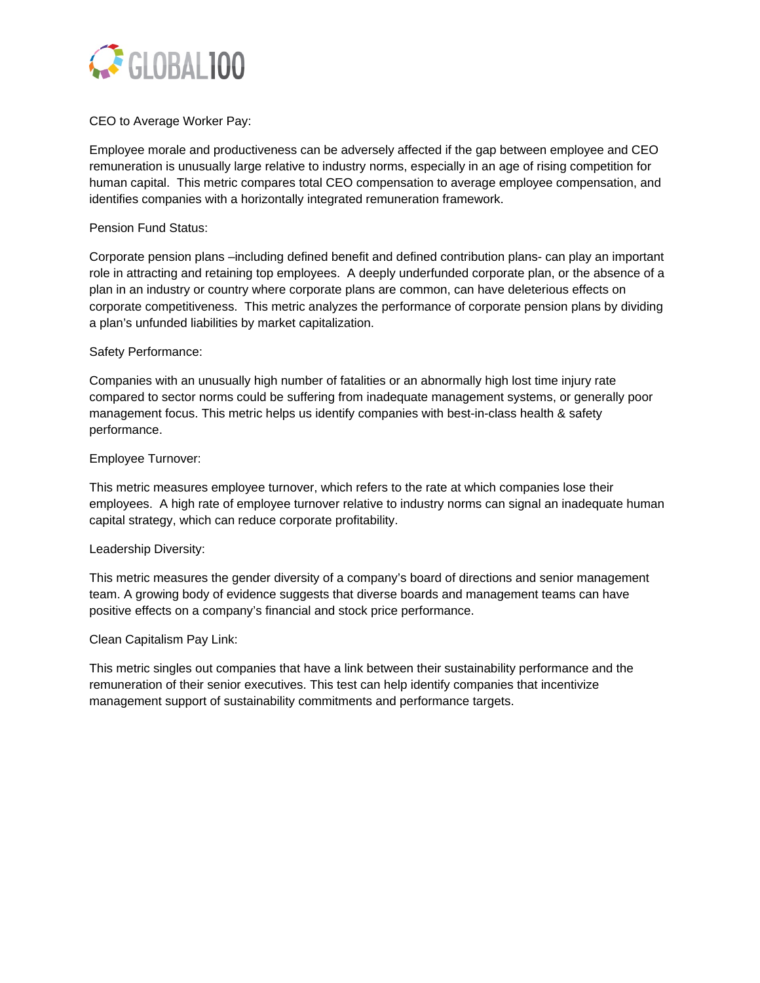

# CEO to Average Worker Pay:

Employee morale and productiveness can be adversely affected if the gap between employee and CEO remuneration is unusually large relative to industry norms, especially in an age of rising competition for human capital. This metric compares total CEO compensation to average employee compensation, and identifies companies with a horizontally integrated remuneration framework.

## Pension Fund Status:

Corporate pension plans –including defined benefit and defined contribution plans- can play an important role in attracting and retaining top employees. A deeply underfunded corporate plan, or the absence of a plan in an industry or country where corporate plans are common, can have deleterious effects on corporate competitiveness. This metric analyzes the performance of corporate pension plans by dividing a plan's unfunded liabilities by market capitalization.

## Safety Performance:

Companies with an unusually high number of fatalities or an abnormally high lost time injury rate compared to sector norms could be suffering from inadequate management systems, or generally poor management focus. This metric helps us identify companies with best-in-class health & safety performance.

## Employee Turnover:

This metric measures employee turnover, which refers to the rate at which companies lose their employees. A high rate of employee turnover relative to industry norms can signal an inadequate human capital strategy, which can reduce corporate profitability.

## Leadership Diversity:

This metric measures the gender diversity of a company's board of directions and senior management team. A growing body of evidence suggests that diverse boards and management teams can have positive effects on a company's financial and stock price performance.

## Clean Capitalism Pay Link:

This metric singles out companies that have a link between their sustainability performance and the remuneration of their senior executives. This test can help identify companies that incentivize management support of sustainability commitments and performance targets.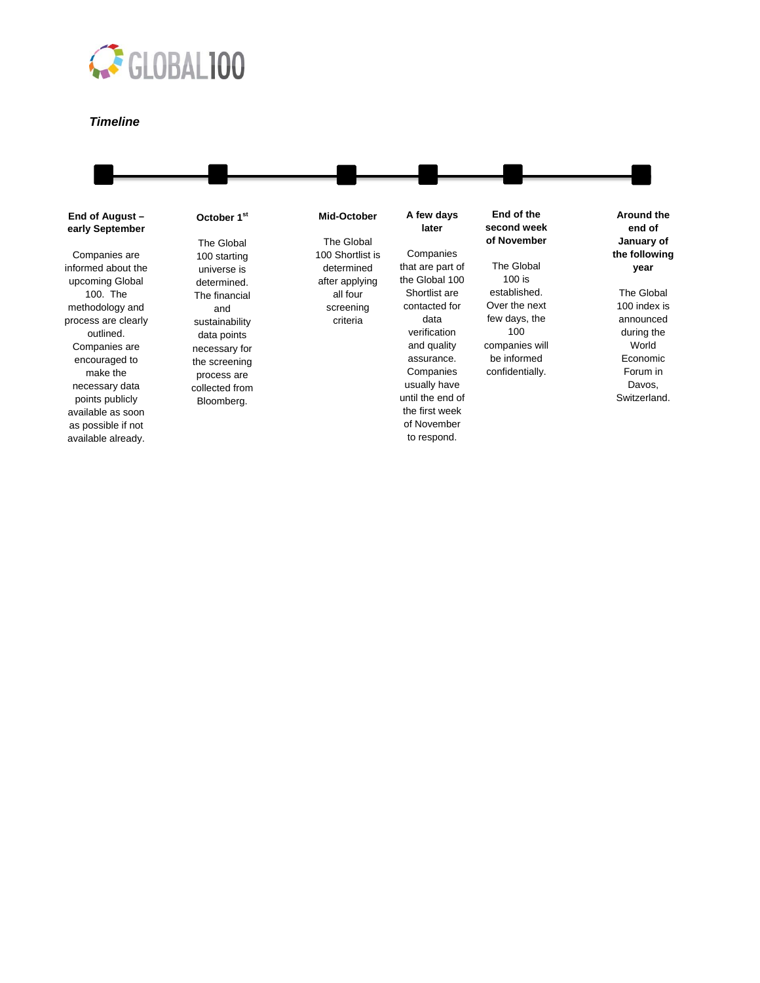

#### *Timeline*

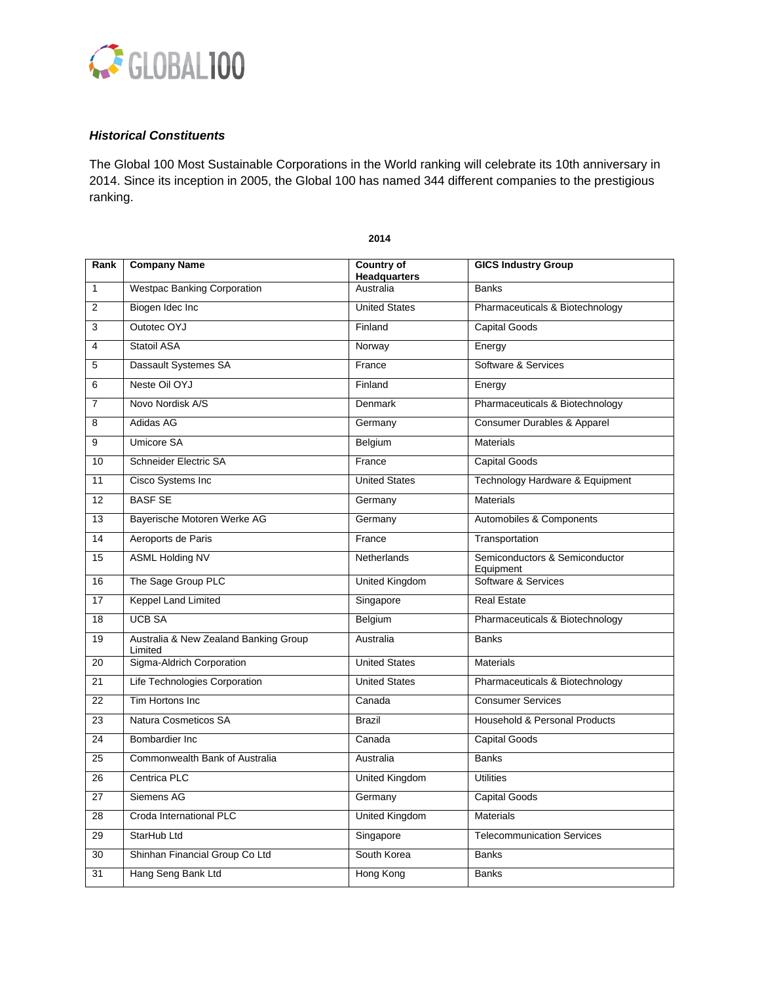

# *Historical Constituents*

The Global 100 Most Sustainable Corporations in the World ranking will celebrate its 10th anniversary in 2014. Since its inception in 2005, the Global 100 has named 344 different companies to the prestigious ranking.

| Rank           | <b>Company Name</b>                              | <b>Country of</b><br><b>Headquarters</b> | <b>GICS Industry Group</b>                  |
|----------------|--------------------------------------------------|------------------------------------------|---------------------------------------------|
| $\mathbf{1}$   | <b>Westpac Banking Corporation</b>               | Australia                                | <b>Banks</b>                                |
| $\overline{2}$ | Biogen Idec Inc                                  | <b>United States</b>                     | Pharmaceuticals & Biotechnology             |
| 3              | Outotec OYJ                                      | Finland                                  | <b>Capital Goods</b>                        |
| $\overline{4}$ | Statoil ASA                                      | Norway                                   | Energy                                      |
| 5              | Dassault Systemes SA                             | France                                   | Software & Services                         |
| 6              | Neste Oil OYJ                                    | Finland                                  | Energy                                      |
| $\overline{7}$ | Novo Nordisk A/S                                 | Denmark                                  | Pharmaceuticals & Biotechnology             |
| 8              | Adidas AG                                        | Germany                                  | Consumer Durables & Apparel                 |
| 9              | Umicore SA                                       | Belgium                                  | <b>Materials</b>                            |
| 10             | Schneider Electric SA                            | France                                   | <b>Capital Goods</b>                        |
| 11             | Cisco Systems Inc                                | <b>United States</b>                     | Technology Hardware & Equipment             |
| 12             | <b>BASF SE</b>                                   | Germany                                  | <b>Materials</b>                            |
| 13             | Bayerische Motoren Werke AG                      | Germany                                  | Automobiles & Components                    |
| 14             | Aeroports de Paris                               | France                                   | Transportation                              |
| 15             | <b>ASML Holding NV</b>                           | <b>Netherlands</b>                       | Semiconductors & Semiconductor<br>Equipment |
| 16             | The Sage Group PLC                               | United Kingdom                           | Software & Services                         |
| 17             | <b>Keppel Land Limited</b>                       | Singapore                                | <b>Real Estate</b>                          |
| 18             | <b>UCB SA</b>                                    | Belgium                                  | Pharmaceuticals & Biotechnology             |
| 19             | Australia & New Zealand Banking Group<br>Limited | Australia                                | <b>Banks</b>                                |
| 20             | Sigma-Aldrich Corporation                        | <b>United States</b>                     | <b>Materials</b>                            |
| 21             | Life Technologies Corporation                    | <b>United States</b>                     | Pharmaceuticals & Biotechnology             |
| 22             | Tim Hortons Inc                                  | Canada                                   | <b>Consumer Services</b>                    |
| 23             | Natura Cosmeticos SA                             | <b>Brazil</b>                            | Household & Personal Products               |
| 24             | Bombardier Inc                                   | Canada                                   | <b>Capital Goods</b>                        |
| 25             | Commonwealth Bank of Australia                   | Australia                                | <b>Banks</b>                                |
| 26             | Centrica PLC                                     | United Kingdom                           | <b>Utilities</b>                            |
| 27             | Siemens AG                                       | Germany                                  | <b>Capital Goods</b>                        |
| 28             | Croda International PLC                          | <b>United Kingdom</b>                    | <b>Materials</b>                            |
| 29             | StarHub Ltd                                      | Singapore                                | <b>Telecommunication Services</b>           |
| 30             | Shinhan Financial Group Co Ltd                   | South Korea                              | <b>Banks</b>                                |
| 31             | Hang Seng Bank Ltd                               | Hong Kong                                | <b>Banks</b>                                |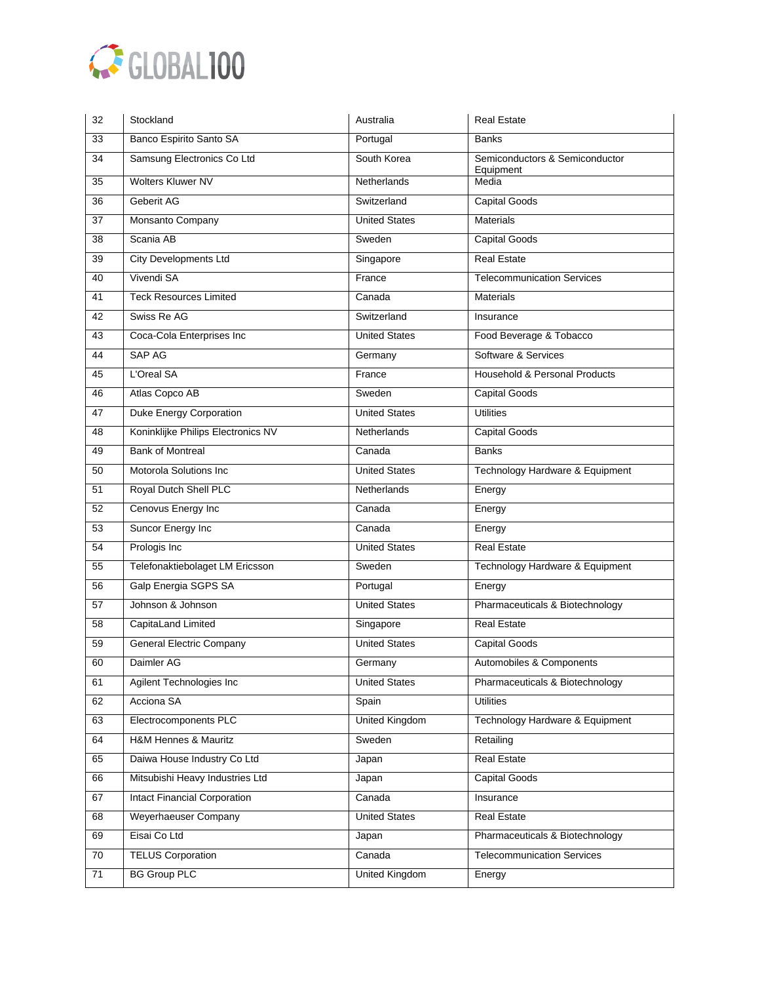

| 32 | Stockland                           | Australia             | <b>Real Estate</b>                          |
|----|-------------------------------------|-----------------------|---------------------------------------------|
| 33 | Banco Espirito Santo SA             | Portugal              | Banks                                       |
| 34 | Samsung Electronics Co Ltd          | South Korea           | Semiconductors & Semiconductor<br>Equipment |
| 35 | <b>Wolters Kluwer NV</b>            | <b>Netherlands</b>    | Media                                       |
| 36 | Geberit AG                          | Switzerland           | <b>Capital Goods</b>                        |
| 37 | Monsanto Company                    | <b>United States</b>  | <b>Materials</b>                            |
| 38 | Scania AB                           | Sweden                | Capital Goods                               |
| 39 | <b>City Developments Ltd</b>        | Singapore             | <b>Real Estate</b>                          |
| 40 | Vivendi SA                          | France                | <b>Telecommunication Services</b>           |
| 41 | <b>Teck Resources Limited</b>       | Canada                | <b>Materials</b>                            |
| 42 | Swiss Re AG                         | Switzerland           | Insurance                                   |
| 43 | Coca-Cola Enterprises Inc           | <b>United States</b>  | Food Beverage & Tobacco                     |
| 44 | SAP AG                              | Germany               | Software & Services                         |
| 45 | L'Oreal SA                          | France                | Household & Personal Products               |
| 46 | Atlas Copco AB                      | Sweden                | <b>Capital Goods</b>                        |
| 47 | <b>Duke Energy Corporation</b>      | <b>United States</b>  | <b>Utilities</b>                            |
| 48 | Koninklijke Philips Electronics NV  | Netherlands           | Capital Goods                               |
| 49 | <b>Bank of Montreal</b>             | Canada                | <b>Banks</b>                                |
| 50 | Motorola Solutions Inc              | <b>United States</b>  | Technology Hardware & Equipment             |
| 51 | Royal Dutch Shell PLC               | <b>Netherlands</b>    | Energy                                      |
| 52 | Cenovus Energy Inc                  | Canada                | Energy                                      |
| 53 | Suncor Energy Inc                   | Canada                | Energy                                      |
| 54 | Prologis Inc                        | <b>United States</b>  | <b>Real Estate</b>                          |
| 55 | Telefonaktiebolaget LM Ericsson     | Sweden                | Technology Hardware & Equipment             |
| 56 | Galp Energia SGPS SA                | Portugal              | Energy                                      |
| 57 | Johnson & Johnson                   | <b>United States</b>  | Pharmaceuticals & Biotechnology             |
| 58 | CapitaLand Limited                  | Singapore             | <b>Real Estate</b>                          |
| 59 | <b>General Electric Company</b>     | <b>United States</b>  | Capital Goods                               |
| 60 | Daimler AG                          | Germany               | Automobiles & Components                    |
| 61 | Agilent Technologies Inc            | <b>United States</b>  | Pharmaceuticals & Biotechnology             |
| 62 | Acciona SA                          | Spain                 | <b>Utilities</b>                            |
| 63 | Electrocomponents PLC               | United Kingdom        | Technology Hardware & Equipment             |
| 64 | H&M Hennes & Mauritz                | Sweden                | Retailing                                   |
| 65 | Daiwa House Industry Co Ltd         | Japan                 | <b>Real Estate</b>                          |
| 66 | Mitsubishi Heavy Industries Ltd     | Japan                 | Capital Goods                               |
| 67 | <b>Intact Financial Corporation</b> | Canada                | Insurance                                   |
| 68 | <b>Weyerhaeuser Company</b>         | <b>United States</b>  | <b>Real Estate</b>                          |
| 69 | Eisai Co Ltd                        | Japan                 | Pharmaceuticals & Biotechnology             |
| 70 | <b>TELUS Corporation</b>            | Canada                | <b>Telecommunication Services</b>           |
| 71 | <b>BG Group PLC</b>                 | <b>United Kingdom</b> | Energy                                      |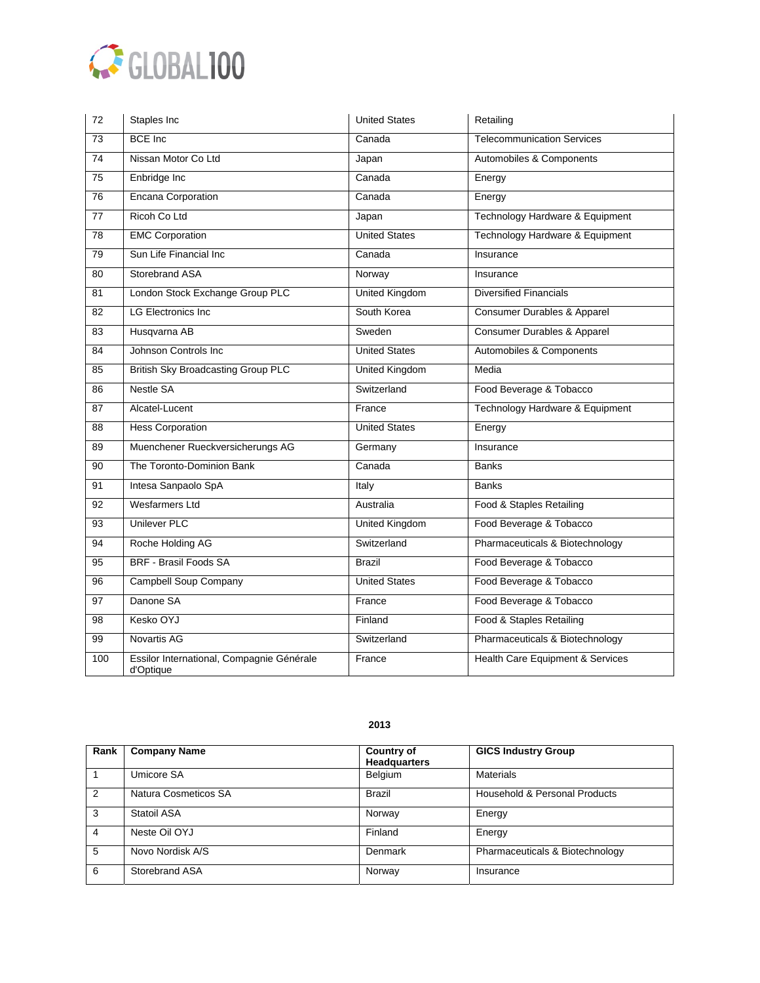

| 72              | Staples Inc                                            | <b>United States</b>  | Retailing                         |
|-----------------|--------------------------------------------------------|-----------------------|-----------------------------------|
| $\overline{73}$ | <b>BCE</b> Inc                                         | Canada                | <b>Telecommunication Services</b> |
| 74              | Nissan Motor Co Ltd                                    | Japan                 | Automobiles & Components          |
| $\overline{75}$ | Enbridge Inc                                           | Canada                | Energy                            |
| $\overline{76}$ | <b>Encana Corporation</b>                              | Canada                | Energy                            |
| 77              | Ricoh Co Ltd                                           | Japan                 | Technology Hardware & Equipment   |
| $\overline{78}$ | <b>EMC Corporation</b>                                 | <b>United States</b>  | Technology Hardware & Equipment   |
| $\overline{79}$ | Sun Life Financial Inc                                 | Canada                | Insurance                         |
| 80              | <b>Storebrand ASA</b>                                  | Norway                | Insurance                         |
| 81              | London Stock Exchange Group PLC                        | <b>United Kingdom</b> | <b>Diversified Financials</b>     |
| $\overline{82}$ | <b>LG Electronics Inc</b>                              | South Korea           | Consumer Durables & Apparel       |
| 83              | Husqvarna AB                                           | Sweden                | Consumer Durables & Apparel       |
| 84              | Johnson Controls Inc.                                  | <b>United States</b>  | Automobiles & Components          |
| 85              | <b>British Sky Broadcasting Group PLC</b>              | <b>United Kingdom</b> | Media                             |
| 86              | <b>Nestle SA</b>                                       | Switzerland           | Food Beverage & Tobacco           |
| 87              | Alcatel-Lucent                                         | France                | Technology Hardware & Equipment   |
| 88              | <b>Hess Corporation</b>                                | <b>United States</b>  | Energy                            |
| 89              | Muenchener Rueckversicherungs AG                       | Germany               | Insurance                         |
| $\overline{90}$ | The Toronto-Dominion Bank                              | Canada                | <b>Banks</b>                      |
| 91              | Intesa Sanpaolo SpA                                    | Italy                 | <b>Banks</b>                      |
| 92              | <b>Wesfarmers Ltd</b>                                  | Australia             | Food & Staples Retailing          |
| $\overline{93}$ | <b>Unilever PLC</b>                                    | United Kingdom        | Food Beverage & Tobacco           |
| 94              | Roche Holding AG                                       | Switzerland           | Pharmaceuticals & Biotechnology   |
| 95              | <b>BRF - Brasil Foods SA</b>                           | <b>Brazil</b>         | Food Beverage & Tobacco           |
| 96              | Campbell Soup Company                                  | <b>United States</b>  | Food Beverage & Tobacco           |
| 97              | Danone SA                                              | France                | Food Beverage & Tobacco           |
| 98              | Kesko OYJ                                              | Finland               | Food & Staples Retailing          |
| 99              | <b>Novartis AG</b>                                     | Switzerland           | Pharmaceuticals & Biotechnology   |
| 100             | Essilor International, Compagnie Générale<br>d'Optique | France                | Health Care Equipment & Services  |

| Rank           | <b>Company Name</b>  | <b>Country of</b><br><b>Headquarters</b> | <b>GICS Industry Group</b>      |
|----------------|----------------------|------------------------------------------|---------------------------------|
|                | Umicore SA           | Belgium                                  | <b>Materials</b>                |
| $\mathcal{P}$  | Natura Cosmeticos SA | <b>Brazil</b>                            | Household & Personal Products   |
| 3              | Statoil ASA          | Norway                                   | Energy                          |
| $\overline{4}$ | Neste Oil OYJ        | Finland                                  | Energy                          |
| 5              | Novo Nordisk A/S     | Denmark                                  | Pharmaceuticals & Biotechnology |
| 6              | Storebrand ASA       | Norway                                   | Insurance                       |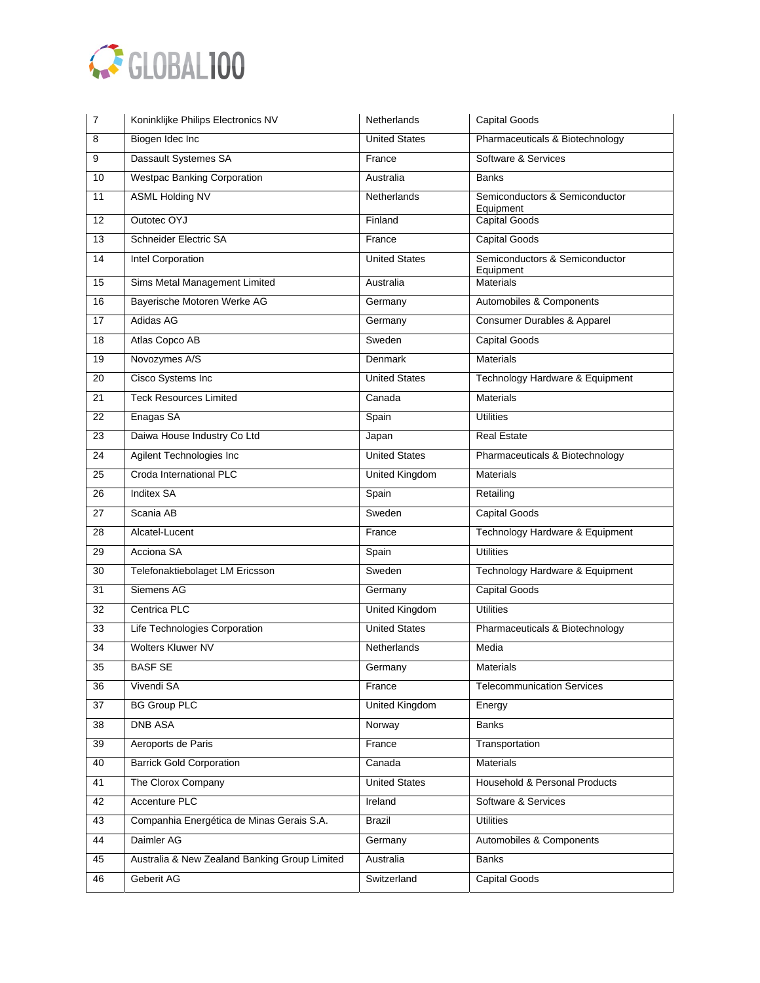

| 7               | Koninklijke Philips Electronics NV            | Netherlands           | Capital Goods                               |
|-----------------|-----------------------------------------------|-----------------------|---------------------------------------------|
| 8               | Biogen Idec Inc                               | <b>United States</b>  | Pharmaceuticals & Biotechnology             |
| 9               | Dassault Systemes SA                          | France                | Software & Services                         |
| 10              | <b>Westpac Banking Corporation</b>            | Australia             | <b>Banks</b>                                |
| 11              | <b>ASML Holding NV</b>                        | Netherlands           | Semiconductors & Semiconductor              |
| 12              | Outotec OYJ                                   | Finland               | Equipment<br><b>Capital Goods</b>           |
| 13              | Schneider Electric SA                         | France                | Capital Goods                               |
| 14              | Intel Corporation                             | <b>United States</b>  | Semiconductors & Semiconductor<br>Equipment |
| 15              | Sims Metal Management Limited                 | Australia             | <b>Materials</b>                            |
| 16              | Bayerische Motoren Werke AG                   | Germany               | Automobiles & Components                    |
| 17              | Adidas AG                                     | Germany               | Consumer Durables & Apparel                 |
| 18              | Atlas Copco AB                                | Sweden                | <b>Capital Goods</b>                        |
| 19              | Novozymes A/S                                 | Denmark               | <b>Materials</b>                            |
| 20              | Cisco Systems Inc                             | <b>United States</b>  | Technology Hardware & Equipment             |
| 21              | <b>Teck Resources Limited</b>                 | Canada                | <b>Materials</b>                            |
| 22              | Enagas SA                                     | Spain                 | <b>Utilities</b>                            |
| 23              | Daiwa House Industry Co Ltd                   | Japan                 | <b>Real Estate</b>                          |
| 24              | Agilent Technologies Inc                      | <b>United States</b>  | Pharmaceuticals & Biotechnology             |
| $\overline{25}$ | Croda International PLC                       | United Kingdom        | <b>Materials</b>                            |
| 26              | <b>Inditex SA</b>                             | Spain                 | Retailing                                   |
| 27              | Scania AB                                     | Sweden                | Capital Goods                               |
| 28              | Alcatel-Lucent                                | France                | Technology Hardware & Equipment             |
| 29              | Acciona SA                                    | Spain                 | <b>Utilities</b>                            |
| $\overline{30}$ | Telefonaktiebolaget LM Ericsson               | Sweden                | Technology Hardware & Equipment             |
| 31              | Siemens AG                                    | Germany               | <b>Capital Goods</b>                        |
| 32              | Centrica PLC                                  | <b>United Kingdom</b> | <b>Utilities</b>                            |
| 33              | Life Technologies Corporation                 | <b>United States</b>  | Pharmaceuticals & Biotechnology             |
| 34              | Wolters Kluwer NV                             | Netherlands           | Media                                       |
| $\overline{35}$ | <b>BASF SE</b>                                | Germany               | Materials                                   |
| 36              | Vivendi SA                                    | France                | <b>Telecommunication Services</b>           |
| 37              | <b>BG Group PLC</b>                           | United Kingdom        | Energy                                      |
| 38              | <b>DNB ASA</b>                                | Norway                | <b>Banks</b>                                |
| 39              | Aeroports de Paris                            | France                | Transportation                              |
| 40              | <b>Barrick Gold Corporation</b>               | Canada                | <b>Materials</b>                            |
| 41              | The Clorox Company                            | <b>United States</b>  | Household & Personal Products               |
| 42              | <b>Accenture PLC</b>                          | Ireland               | Software & Services                         |
| 43              | Companhia Energética de Minas Gerais S.A.     | <b>Brazil</b>         | <b>Utilities</b>                            |
| 44              | Daimler AG                                    | Germany               | Automobiles & Components                    |
| 45              | Australia & New Zealand Banking Group Limited | Australia             | <b>Banks</b>                                |
| 46              | Geberit AG                                    | Switzerland           | Capital Goods                               |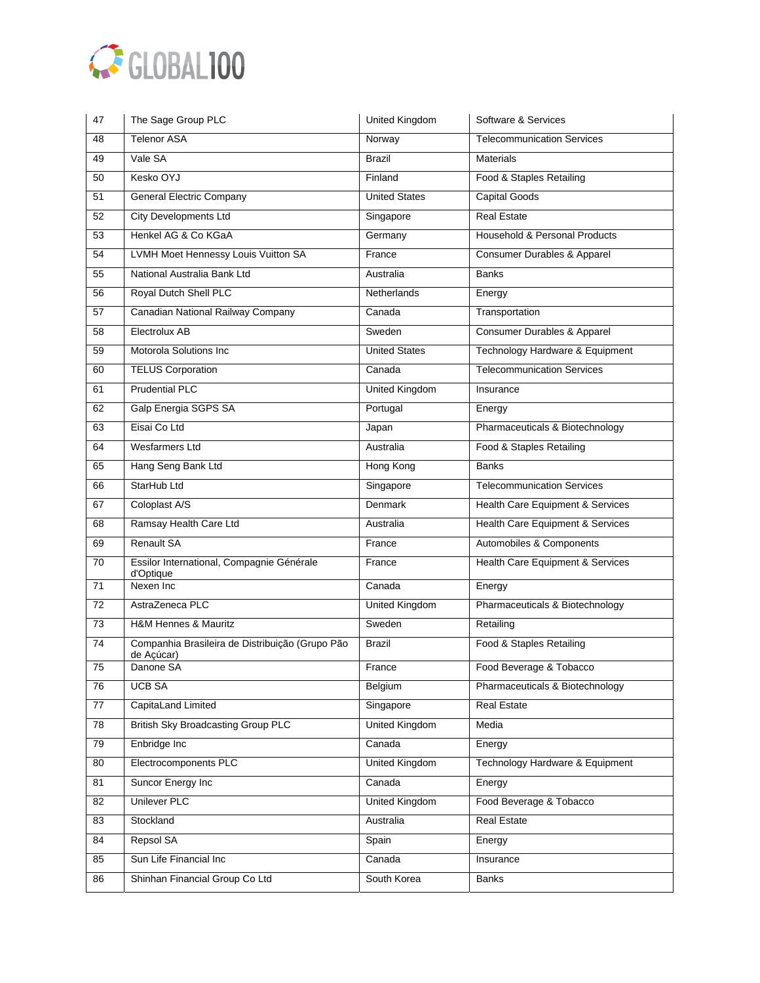

| 47 | The Sage Group PLC                                            | United Kingdom        | Software & Services                    |
|----|---------------------------------------------------------------|-----------------------|----------------------------------------|
| 48 | <b>Telenor ASA</b>                                            | Norway                | <b>Telecommunication Services</b>      |
| 49 | Vale SA                                                       | <b>Brazil</b>         | Materials                              |
| 50 | Kesko OYJ                                                     | Finland               | Food & Staples Retailing               |
| 51 | <b>General Electric Company</b>                               | <b>United States</b>  | <b>Capital Goods</b>                   |
| 52 | <b>City Developments Ltd</b>                                  | Singapore             | <b>Real Estate</b>                     |
| 53 | Henkel AG & Co KGaA                                           | Germany               | Household & Personal Products          |
| 54 | LVMH Moet Hennessy Louis Vuitton SA                           | France                | <b>Consumer Durables &amp; Apparel</b> |
| 55 | National Australia Bank Ltd                                   | Australia             | <b>Banks</b>                           |
| 56 | Royal Dutch Shell PLC                                         | Netherlands           | Energy                                 |
| 57 | Canadian National Railway Company                             | Canada                | Transportation                         |
| 58 | Electrolux AB                                                 | Sweden                | Consumer Durables & Apparel            |
| 59 | Motorola Solutions Inc                                        | <b>United States</b>  | Technology Hardware & Equipment        |
| 60 | <b>TELUS Corporation</b>                                      | Canada                | <b>Telecommunication Services</b>      |
| 61 | <b>Prudential PLC</b>                                         | United Kingdom        | Insurance                              |
| 62 | Galp Energia SGPS SA                                          | Portugal              | Energy                                 |
| 63 | Eisai Co Ltd                                                  | Japan                 | Pharmaceuticals & Biotechnology        |
| 64 | <b>Wesfarmers Ltd</b>                                         | Australia             | Food & Staples Retailing               |
| 65 | Hang Seng Bank Ltd                                            | Hong Kong             | <b>Banks</b>                           |
| 66 | StarHub Ltd                                                   | Singapore             | <b>Telecommunication Services</b>      |
| 67 | Coloplast A/S                                                 | Denmark               | Health Care Equipment & Services       |
| 68 | Ramsay Health Care Ltd                                        | Australia             | Health Care Equipment & Services       |
| 69 | <b>Renault SA</b>                                             | France                | Automobiles & Components               |
| 70 | Essilor International, Compagnie Générale<br>d'Optique        | France                | Health Care Equipment & Services       |
| 71 | Nexen Inc                                                     | Canada                | Energy                                 |
| 72 | AstraZeneca PLC                                               | United Kingdom        | Pharmaceuticals & Biotechnology        |
| 73 | <b>H&amp;M Hennes &amp; Mauritz</b>                           | Sweden                | Retailing                              |
| 74 | Companhia Brasileira de Distribuição (Grupo Pão<br>de Açúcar) | Brazil                | Food & Staples Retailing               |
| 75 | Danone SA                                                     | France                | Food Beverage & Tobacco                |
| 76 | UCB SA                                                        | Belgium               | Pharmaceuticals & Biotechnology        |
| 77 | CapitaLand Limited                                            | Singapore             | <b>Real Estate</b>                     |
| 78 | <b>British Sky Broadcasting Group PLC</b>                     | United Kingdom        | Media                                  |
| 79 | Enbridge Inc                                                  | Canada                | Energy                                 |
| 80 | Electrocomponents PLC                                         | <b>United Kingdom</b> | Technology Hardware & Equipment        |
| 81 | Suncor Energy Inc                                             | Canada                | Energy                                 |
| 82 | <b>Unilever PLC</b>                                           | <b>United Kingdom</b> | Food Beverage & Tobacco                |
| 83 | Stockland                                                     | Australia             | <b>Real Estate</b>                     |
| 84 | Repsol SA                                                     | Spain                 | Energy                                 |
| 85 | Sun Life Financial Inc                                        | Canada                | Insurance                              |
| 86 | Shinhan Financial Group Co Ltd                                | South Korea           | <b>Banks</b>                           |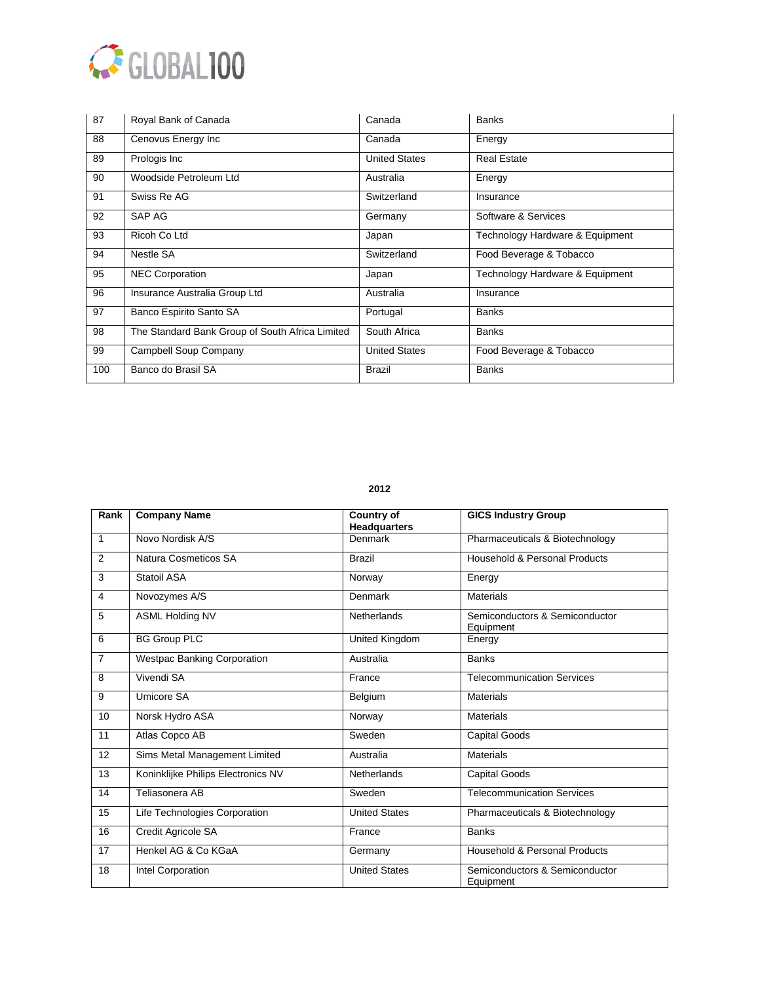

| 87  | Royal Bank of Canada                            | Canada               | <b>Banks</b>                    |
|-----|-------------------------------------------------|----------------------|---------------------------------|
| 88  | Cenovus Energy Inc                              | Canada               | Energy                          |
| 89  | Prologis Inc                                    | <b>United States</b> | <b>Real Estate</b>              |
| 90  | Woodside Petroleum Ltd                          | Australia            | Energy                          |
| 91  | Swiss Re AG                                     | Switzerland          | Insurance                       |
| 92  | SAP AG                                          | Germany              | Software & Services             |
| 93  | Ricoh Co Ltd                                    | Japan                | Technology Hardware & Equipment |
| 94  | Nestle SA                                       | Switzerland          | Food Beverage & Tobacco         |
| 95  | <b>NEC Corporation</b>                          | Japan                | Technology Hardware & Equipment |
| 96  | Insurance Australia Group Ltd                   | Australia            | Insurance                       |
| 97  | Banco Espirito Santo SA                         | Portugal             | <b>Banks</b>                    |
| 98  | The Standard Bank Group of South Africa Limited | South Africa         | <b>Banks</b>                    |
| 99  | Campbell Soup Company                           | <b>United States</b> | Food Beverage & Tobacco         |
| 100 | Banco do Brasil SA                              | <b>Brazil</b>        | <b>Banks</b>                    |

| Rank           | <b>Company Name</b>                | <b>Country of</b><br><b>Headquarters</b> | <b>GICS Industry Group</b>                  |
|----------------|------------------------------------|------------------------------------------|---------------------------------------------|
| $\mathbf{1}$   | Novo Nordisk A/S                   | Denmark                                  | Pharmaceuticals & Biotechnology             |
| 2              | Natura Cosmeticos SA               | <b>Brazil</b>                            | Household & Personal Products               |
| 3              | Statoil ASA                        | Norway                                   | Energy                                      |
| 4              | Novozymes A/S                      | Denmark                                  | <b>Materials</b>                            |
| 5              | <b>ASML Holding NV</b>             | Netherlands                              | Semiconductors & Semiconductor<br>Equipment |
| 6              | <b>BG Group PLC</b>                | United Kingdom                           | Energy                                      |
| $\overline{7}$ | <b>Westpac Banking Corporation</b> | Australia                                | <b>Banks</b>                                |
| 8              | Vivendi SA                         | France                                   | <b>Telecommunication Services</b>           |
| 9              | <b>Umicore SA</b>                  | Belgium                                  | <b>Materials</b>                            |
| 10             | Norsk Hydro ASA                    | Norway                                   | <b>Materials</b>                            |
| 11             | Atlas Copco AB                     | Sweden                                   | Capital Goods                               |
| 12             | Sims Metal Management Limited      | Australia                                | <b>Materials</b>                            |
| 13             | Koninklijke Philips Electronics NV | Netherlands                              | Capital Goods                               |
| 14             | Teliasonera AB                     | Sweden                                   | <b>Telecommunication Services</b>           |
| 15             | Life Technologies Corporation      | <b>United States</b>                     | Pharmaceuticals & Biotechnology             |
| 16             | Credit Agricole SA                 | France                                   | <b>Banks</b>                                |
| 17             | Henkel AG & Co KGaA                | Germany                                  | Household & Personal Products               |
| 18             | Intel Corporation                  | <b>United States</b>                     | Semiconductors & Semiconductor<br>Equipment |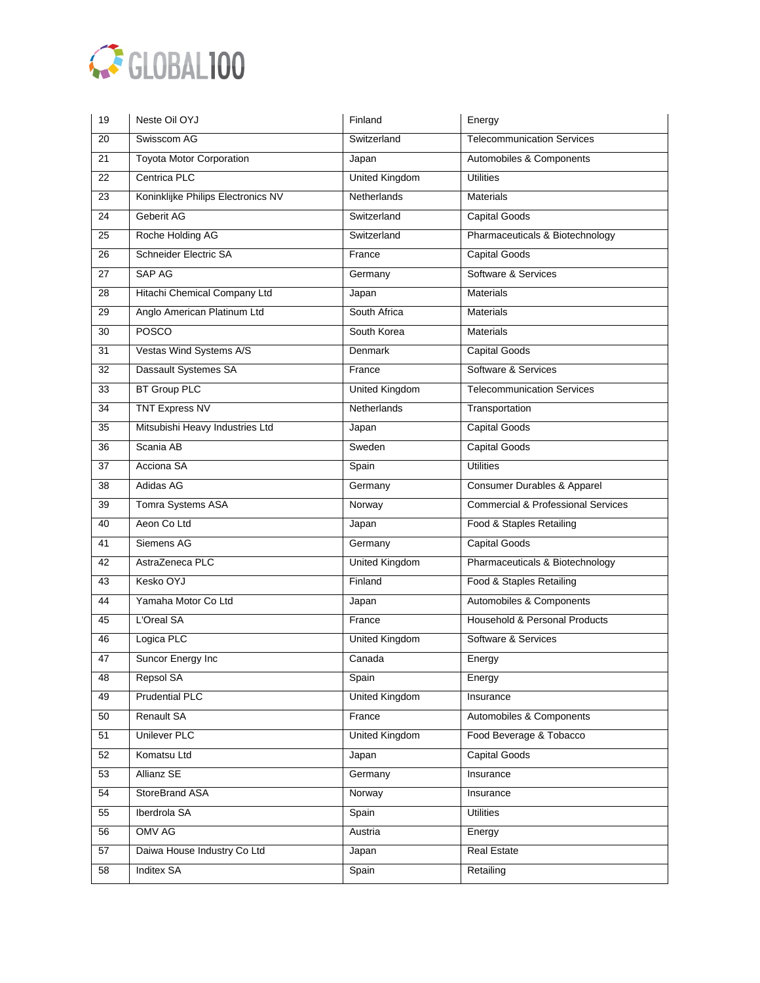

| 19              | Neste Oil OYJ                      | Finland               | Energy                                        |
|-----------------|------------------------------------|-----------------------|-----------------------------------------------|
| 20              | Swisscom AG                        | Switzerland           | <b>Telecommunication Services</b>             |
| 21              | <b>Toyota Motor Corporation</b>    | Japan                 | Automobiles & Components                      |
| $\overline{22}$ | Centrica PLC                       | <b>United Kingdom</b> | <b>Utilities</b>                              |
| 23              | Koninklijke Philips Electronics NV | Netherlands           | <b>Materials</b>                              |
| 24              | Geberit AG                         | Switzerland           | Capital Goods                                 |
| $\overline{25}$ | Roche Holding AG                   | Switzerland           | Pharmaceuticals & Biotechnology               |
| 26              | Schneider Electric SA              | France                | <b>Capital Goods</b>                          |
| 27              | SAP AG                             | Germany               | Software & Services                           |
| 28              | Hitachi Chemical Company Ltd       | Japan                 | <b>Materials</b>                              |
| 29              | Anglo American Platinum Ltd        | South Africa          | <b>Materials</b>                              |
| 30              | <b>POSCO</b>                       | South Korea           | <b>Materials</b>                              |
| 31              | Vestas Wind Systems A/S            | Denmark               | <b>Capital Goods</b>                          |
| $\overline{32}$ | Dassault Systemes SA               | France                | Software & Services                           |
| 33              | <b>BT Group PLC</b>                | <b>United Kingdom</b> | <b>Telecommunication Services</b>             |
| $\overline{34}$ | <b>TNT Express NV</b>              | Netherlands           | Transportation                                |
| 35              | Mitsubishi Heavy Industries Ltd    | Japan                 | <b>Capital Goods</b>                          |
| 36              | Scania AB                          | Sweden                | <b>Capital Goods</b>                          |
| 37              | Acciona SA                         | Spain                 | <b>Utilities</b>                              |
| 38              | Adidas AG                          | Germany               | Consumer Durables & Apparel                   |
| 39              | Tomra Systems ASA                  | Norway                | <b>Commercial &amp; Professional Services</b> |
| 40              | Aeon Co Ltd                        | Japan                 | Food & Staples Retailing                      |
| 41              | Siemens AG                         | Germany               | <b>Capital Goods</b>                          |
| 42              | AstraZeneca PLC                    | <b>United Kingdom</b> | Pharmaceuticals & Biotechnology               |
| 43              | Kesko OYJ                          | Finland               | Food & Staples Retailing                      |
| 44              | Yamaha Motor Co Ltd                | Japan                 | Automobiles & Components                      |
| 45              | L'Oreal SA                         | France                | Household & Personal Products                 |
| 46              | Logica PLC                         | <b>United Kingdom</b> | Software & Services                           |
| 47              | Suncor Energy Inc                  | Canada                | Energy                                        |
| 48              | Repsol SA                          | Spain                 | Energy                                        |
| 49              | <b>Prudential PLC</b>              | <b>United Kingdom</b> | Insurance                                     |
| 50              | <b>Renault SA</b>                  | France                | Automobiles & Components                      |
| 51              | <b>Unilever PLC</b>                | <b>United Kingdom</b> | Food Beverage & Tobacco                       |
| 52              | Komatsu Ltd                        | Japan                 | <b>Capital Goods</b>                          |
| 53              | Allianz SE                         | Germany               | Insurance                                     |
| 54              | StoreBrand ASA                     | Norway                | Insurance                                     |
| 55              | Iberdrola SA                       | Spain                 | <b>Utilities</b>                              |
| 56              | <b>OMV AG</b>                      | Austria               | Energy                                        |
| 57              | Daiwa House Industry Co Ltd        | Japan                 | <b>Real Estate</b>                            |
| 58              | <b>Inditex SA</b>                  | Spain                 | Retailing                                     |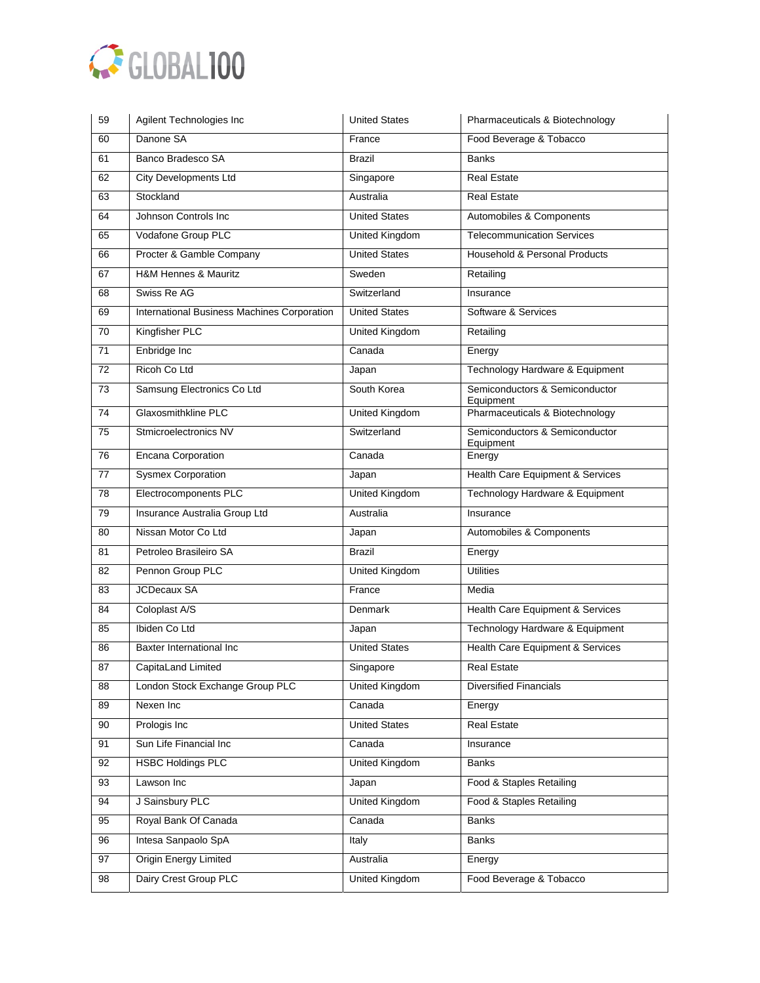

| 59              | Agilent Technologies Inc                    | <b>United States</b>  | Pharmaceuticals & Biotechnology             |
|-----------------|---------------------------------------------|-----------------------|---------------------------------------------|
| 60              | Danone SA                                   | France                | Food Beverage & Tobacco                     |
| 61              | Banco Bradesco SA                           | <b>Brazil</b>         | <b>Banks</b>                                |
| 62              | <b>City Developments Ltd</b>                | Singapore             | <b>Real Estate</b>                          |
| 63              | Stockland                                   | Australia             | <b>Real Estate</b>                          |
| 64              | Johnson Controls Inc                        | <b>United States</b>  | Automobiles & Components                    |
| 65              | Vodafone Group PLC                          | <b>United Kingdom</b> | <b>Telecommunication Services</b>           |
| 66              | Procter & Gamble Company                    | <b>United States</b>  | Household & Personal Products               |
| 67              | H&M Hennes & Mauritz                        | Sweden                | Retailing                                   |
| 68              | Swiss Re AG                                 | Switzerland           | Insurance                                   |
| 69              | International Business Machines Corporation | <b>United States</b>  | Software & Services                         |
| 70              | Kingfisher PLC                              | United Kingdom        | Retailing                                   |
| 71              | Enbridge Inc                                | Canada                | Energy                                      |
| 72              | Ricoh Co Ltd                                | Japan                 | Technology Hardware & Equipment             |
| 73              | Samsung Electronics Co Ltd                  | South Korea           | Semiconductors & Semiconductor<br>Equipment |
| $\overline{74}$ | <b>Glaxosmithkline PLC</b>                  | United Kingdom        | Pharmaceuticals & Biotechnology             |
| 75              | Stmicroelectronics NV                       | Switzerland           | Semiconductors & Semiconductor<br>Equipment |
| 76              | <b>Encana Corporation</b>                   | Canada                | Energy                                      |
| $\overline{77}$ | <b>Sysmex Corporation</b>                   | Japan                 | Health Care Equipment & Services            |
| 78              | Electrocomponents PLC                       | <b>United Kingdom</b> | Technology Hardware & Equipment             |
| 79              | Insurance Australia Group Ltd               | Australia             | Insurance                                   |
| 80              | Nissan Motor Co Ltd                         | Japan                 | Automobiles & Components                    |
| 81              | Petroleo Brasileiro SA                      | <b>Brazil</b>         | Energy                                      |
| 82              | Pennon Group PLC                            | <b>United Kingdom</b> | <b>Utilities</b>                            |
| 83              | <b>JCDecaux SA</b>                          | France                | Media                                       |
| 84              | Coloplast A/S                               | <b>Denmark</b>        | Health Care Equipment & Services            |
| 85              | Ibiden Co Ltd                               | Japan                 | Technology Hardware & Equipment             |
| 86              | Baxter International Inc                    | <b>United States</b>  | <b>Health Care Equipment &amp; Services</b> |
| 87              | CapitaLand Limited                          | Singapore             | <b>Real Estate</b>                          |
| 88              | London Stock Exchange Group PLC             | United Kingdom        | <b>Diversified Financials</b>               |
| 89              | Nexen Inc                                   | Canada                | Energy                                      |
| 90              | Prologis Inc                                | <b>United States</b>  | Real Estate                                 |
| 91              | Sun Life Financial Inc                      | Canada                | Insurance                                   |
| 92              | <b>HSBC Holdings PLC</b>                    | United Kingdom        | <b>Banks</b>                                |
| 93              | Lawson Inc                                  | Japan                 | Food & Staples Retailing                    |
| 94              | J Sainsbury PLC                             | <b>United Kingdom</b> | Food & Staples Retailing                    |
| 95              | Royal Bank Of Canada                        | Canada                | Banks                                       |
| 96              | Intesa Sanpaolo SpA                         | Italy                 | <b>Banks</b>                                |
| 97              | <b>Origin Energy Limited</b>                | Australia             | Energy                                      |
| 98              | Dairy Crest Group PLC                       | United Kingdom        | Food Beverage & Tobacco                     |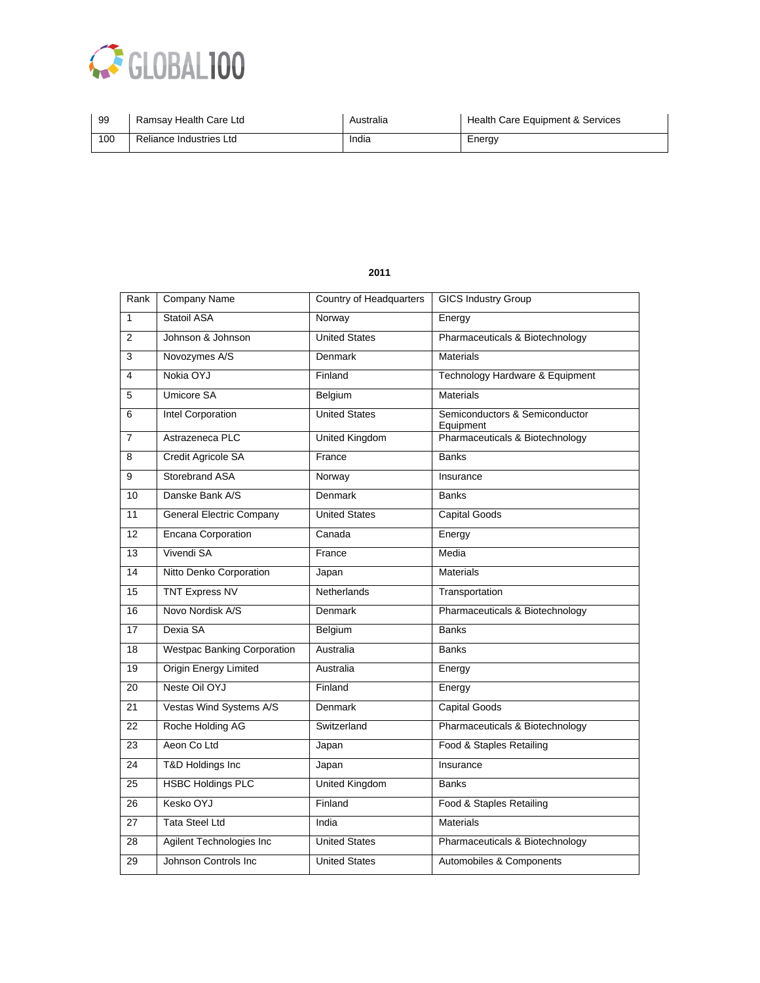

| -99 | Ramsay Health Care Ltd  | Australia | Health Care Equipment & Services |
|-----|-------------------------|-----------|----------------------------------|
| 100 | Reliance Industries Ltd | India     | Energy                           |

| Rank                    | <b>Company Name</b>                | <b>Country of Headquarters</b> | <b>GICS Industry Group</b>                  |
|-------------------------|------------------------------------|--------------------------------|---------------------------------------------|
| $\mathbf{1}$            | Statoil ASA                        | Norway                         | Energy                                      |
| 2                       | Johnson & Johnson                  | <b>United States</b>           | Pharmaceuticals & Biotechnology             |
| 3                       | Novozymes A/S                      | Denmark                        | <b>Materials</b>                            |
| $\overline{\mathbf{4}}$ | Nokia OYJ                          | Finland                        | Technology Hardware & Equipment             |
| 5                       | <b>Umicore SA</b>                  | Belgium                        | <b>Materials</b>                            |
| 6                       | <b>Intel Corporation</b>           | <b>United States</b>           | Semiconductors & Semiconductor<br>Equipment |
| $\overline{7}$          | Astrazeneca PLC                    | United Kingdom                 | Pharmaceuticals & Biotechnology             |
| 8                       | Credit Agricole SA                 | France                         | <b>Banks</b>                                |
| 9                       | Storebrand ASA                     | Norway                         | Insurance                                   |
| 10                      | Danske Bank A/S                    | <b>Denmark</b>                 | <b>Banks</b>                                |
| 11                      | General Electric Company           | <b>United States</b>           | <b>Capital Goods</b>                        |
| 12                      | <b>Encana Corporation</b>          | Canada                         | Energy                                      |
| 13                      | Vivendi SA                         | France                         | Media                                       |
| 14                      | Nitto Denko Corporation            | Japan                          | <b>Materials</b>                            |
| 15                      | <b>TNT Express NV</b>              | <b>Netherlands</b>             | Transportation                              |
| 16                      | Novo Nordisk A/S                   | Denmark                        | Pharmaceuticals & Biotechnology             |
| 17                      | Dexia SA                           | Belgium                        | <b>Banks</b>                                |
| 18                      | <b>Westpac Banking Corporation</b> | Australia                      | <b>Banks</b>                                |
| 19                      | <b>Origin Energy Limited</b>       | Australia                      | Energy                                      |
| 20                      | Neste Oil OYJ                      | Finland                        | Energy                                      |
| 21                      | Vestas Wind Systems A/S            | Denmark                        | <b>Capital Goods</b>                        |
| 22                      | Roche Holding AG                   | Switzerland                    | Pharmaceuticals & Biotechnology             |
| 23                      | Aeon Co Ltd                        | Japan                          | Food & Staples Retailing                    |
| 24                      | T&D Holdings Inc                   | Japan                          | Insurance                                   |
| 25                      | <b>HSBC Holdings PLC</b>           | <b>United Kingdom</b>          | Banks                                       |
| 26                      | Kesko OYJ                          | Finland                        | Food & Staples Retailing                    |
| 27                      | <b>Tata Steel Ltd</b>              | India                          | <b>Materials</b>                            |
| 28                      | Agilent Technologies Inc           | <b>United States</b>           | Pharmaceuticals & Biotechnology             |
| 29                      | Johnson Controls Inc               | <b>United States</b>           | Automobiles & Components                    |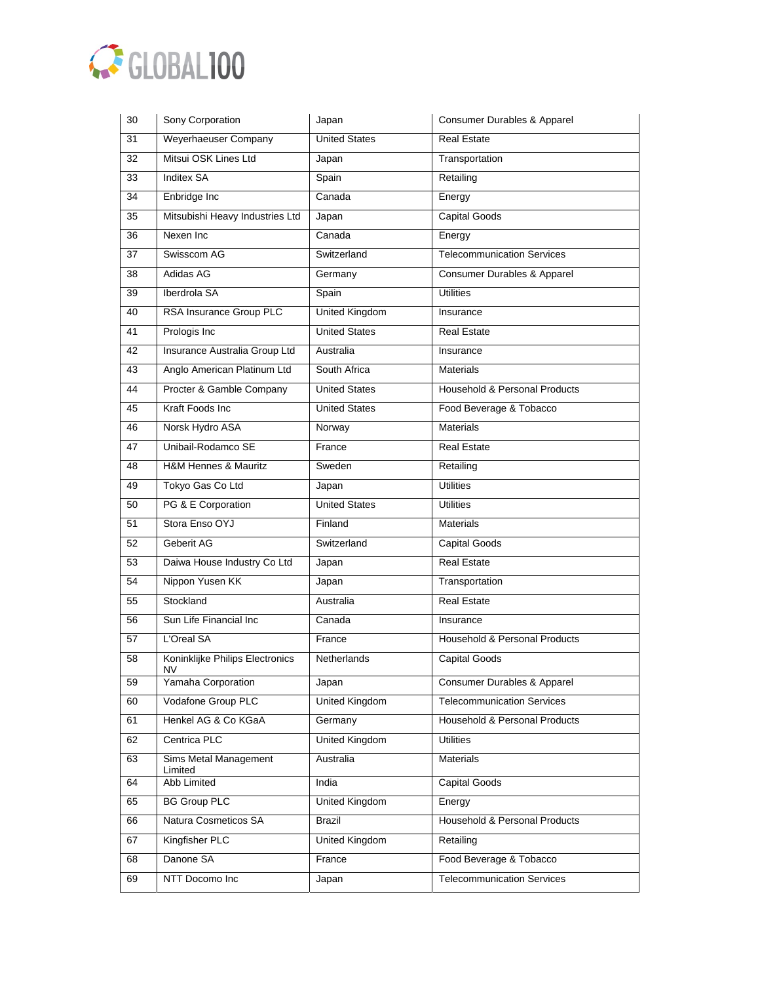

| 30              | Sony Corporation                        | Japan                 | Consumer Durables & Apparel       |
|-----------------|-----------------------------------------|-----------------------|-----------------------------------|
| 31              | Weyerhaeuser Company                    | <b>United States</b>  | <b>Real Estate</b>                |
| 32              | Mitsui OSK Lines Ltd                    | Japan                 | Transportation                    |
| $\overline{33}$ | <b>Inditex SA</b>                       | Spain                 | Retailing                         |
| 34              | Enbridge Inc                            | Canada                | Energy                            |
| 35              | Mitsubishi Heavy Industries Ltd         | Japan                 | <b>Capital Goods</b>              |
| 36              | Nexen Inc                               | Canada                | Energy                            |
| 37              | Swisscom AG                             | Switzerland           | <b>Telecommunication Services</b> |
| 38              | Adidas AG                               | Germany               | Consumer Durables & Apparel       |
| 39              | Iberdrola SA                            | Spain                 | <b>Utilities</b>                  |
| 40              | RSA Insurance Group PLC                 | <b>United Kingdom</b> | Insurance                         |
| 41              | Prologis Inc                            | <b>United States</b>  | <b>Real Estate</b>                |
| 42              | Insurance Australia Group Ltd           | Australia             | Insurance                         |
| 43              | Anglo American Platinum Ltd             | South Africa          | <b>Materials</b>                  |
| 44              | Procter & Gamble Company                | <b>United States</b>  | Household & Personal Products     |
| 45              | Kraft Foods Inc.                        | <b>United States</b>  | Food Beverage & Tobacco           |
| 46              | Norsk Hydro ASA                         | Norway                | <b>Materials</b>                  |
| 47              | Unibail-Rodamco SE                      | France                | <b>Real Estate</b>                |
| 48              | H&M Hennes & Mauritz                    | Sweden                | Retailing                         |
| 49              | Tokyo Gas Co Ltd                        | Japan                 | <b>Utilities</b>                  |
| 50              | PG & E Corporation                      | <b>United States</b>  | <b>Utilities</b>                  |
| 51              | Stora Enso OYJ                          | Finland               | <b>Materials</b>                  |
| 52              | Geberit AG                              | Switzerland           | <b>Capital Goods</b>              |
| 53              | Daiwa House Industry Co Ltd             | Japan                 | <b>Real Estate</b>                |
| 54              | Nippon Yusen KK                         | Japan                 | Transportation                    |
| 55              | Stockland                               | Australia             | <b>Real Estate</b>                |
| 56              | Sun Life Financial Inc                  | Canada                | Insurance                         |
| 57              | L'Oreal SA                              | France                | Household & Personal Products     |
| 58              | Koninklijke Philips Electronics<br>NV - | Netherlands           | Capital Goods                     |
| 59              | Yamaha Corporation                      | Japan                 | Consumer Durables & Apparel       |
| 60              | Vodafone Group PLC                      | <b>United Kingdom</b> | <b>Telecommunication Services</b> |
| 61              | Henkel AG & Co KGaA                     | Germany               | Household & Personal Products     |
| 62              | Centrica PLC                            | United Kingdom        | <b>Utilities</b>                  |
| 63              | Sims Metal Management<br>Limited        | Australia             | <b>Materials</b>                  |
| 64              | <b>Abb Limited</b>                      | India                 | Capital Goods                     |
| 65              | <b>BG Group PLC</b>                     | <b>United Kingdom</b> | Energy                            |
| 66              | Natura Cosmeticos SA                    | Brazil                | Household & Personal Products     |
| 67              | Kingfisher PLC                          | United Kingdom        | Retailing                         |
| 68              | Danone SA                               | France                | Food Beverage & Tobacco           |
| 69              | NTT Docomo Inc                          | Japan                 | <b>Telecommunication Services</b> |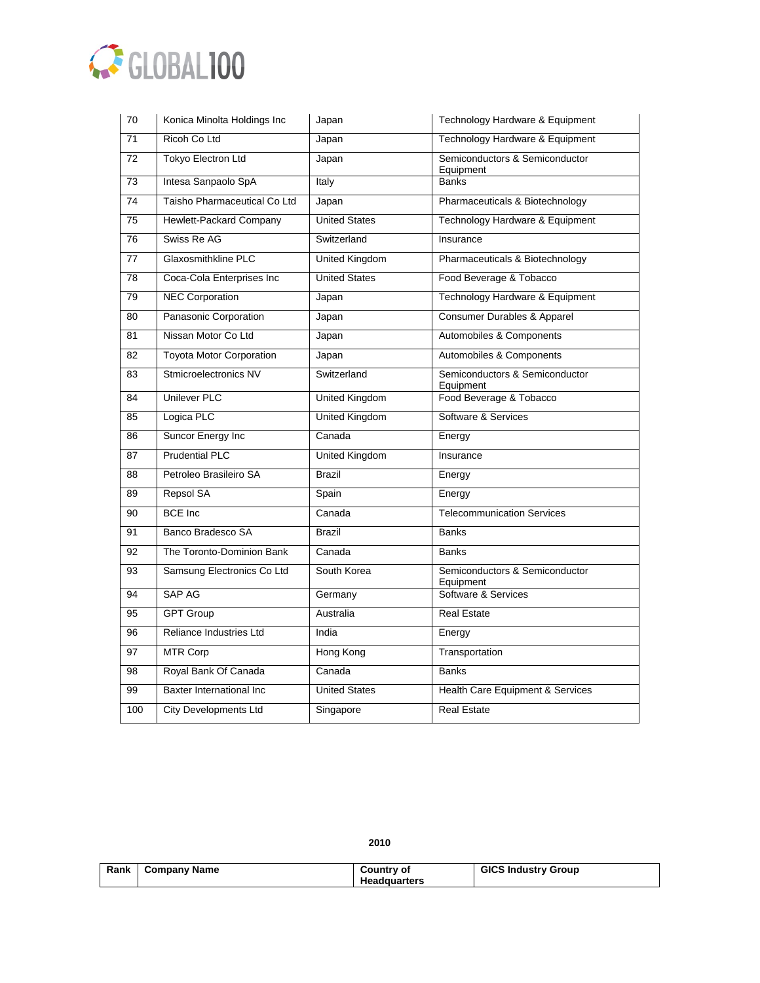

| 70              | Konica Minolta Holdings Inc     | Japan                 | Technology Hardware & Equipment             |
|-----------------|---------------------------------|-----------------------|---------------------------------------------|
| $\overline{71}$ | Ricoh Co Ltd                    | Japan                 | Technology Hardware & Equipment             |
| 72              | <b>Tokyo Electron Ltd</b>       | Japan                 | Semiconductors & Semiconductor<br>Equipment |
| 73              | Intesa Sanpaolo SpA             | Italy                 | <b>Banks</b>                                |
| 74              | Taisho Pharmaceutical Co Ltd    | Japan                 | Pharmaceuticals & Biotechnology             |
| 75              | Hewlett-Packard Company         | <b>United States</b>  | Technology Hardware & Equipment             |
| 76              | Swiss Re AG                     | Switzerland           | Insurance                                   |
| 77              | Glaxosmithkline PLC             | <b>United Kingdom</b> | Pharmaceuticals & Biotechnology             |
| 78              | Coca-Cola Enterprises Inc       | <b>United States</b>  | Food Beverage & Tobacco                     |
| $\overline{79}$ | <b>NEC Corporation</b>          | Japan                 | Technology Hardware & Equipment             |
| 80              | Panasonic Corporation           | Japan                 | Consumer Durables & Apparel                 |
| 81              | Nissan Motor Co Ltd             | Japan                 | Automobiles & Components                    |
| 82              | <b>Toyota Motor Corporation</b> | Japan                 | Automobiles & Components                    |
| 83              | Stmicroelectronics NV           | Switzerland           | Semiconductors & Semiconductor<br>Equipment |
| 84              | <b>Unilever PLC</b>             | <b>United Kingdom</b> | Food Beverage & Tobacco                     |
| 85              | Logica PLC                      | <b>United Kingdom</b> | Software & Services                         |
| 86              | Suncor Energy Inc               | Canada                | Energy                                      |
| 87              | <b>Prudential PLC</b>           | <b>United Kingdom</b> | Insurance                                   |
| 88              | Petroleo Brasileiro SA          | <b>Brazil</b>         | Energy                                      |
| 89              | Repsol SA                       | Spain                 | Energy                                      |
| 90              | <b>BCE</b> Inc                  | Canada                | <b>Telecommunication Services</b>           |
| 91              | Banco Bradesco SA               | Brazil                | <b>Banks</b>                                |
| 92              | The Toronto-Dominion Bank       | Canada                | <b>Banks</b>                                |
| 93              | Samsung Electronics Co Ltd      | South Korea           | Semiconductors & Semiconductor<br>Equipment |
| 94              | <b>SAP AG</b>                   | Germany               | Software & Services                         |
| 95              | <b>GPT Group</b>                | Australia             | <b>Real Estate</b>                          |
| 96              | Reliance Industries Ltd         | India                 | Energy                                      |
| 97              | <b>MTR Corp</b>                 | Hong Kong             | Transportation                              |
| 98              | Royal Bank Of Canada            | Canada                | <b>Banks</b>                                |
| 99              | Baxter International Inc        | <b>United States</b>  | Health Care Equipment & Services            |
| 100             | <b>City Developments Ltd</b>    | Singapore             | <b>Real Estate</b>                          |

| Rank | <b>Company Name</b> | Country of          | <b>GICS Industry Group</b> |
|------|---------------------|---------------------|----------------------------|
|      |                     | <b>Headquarters</b> |                            |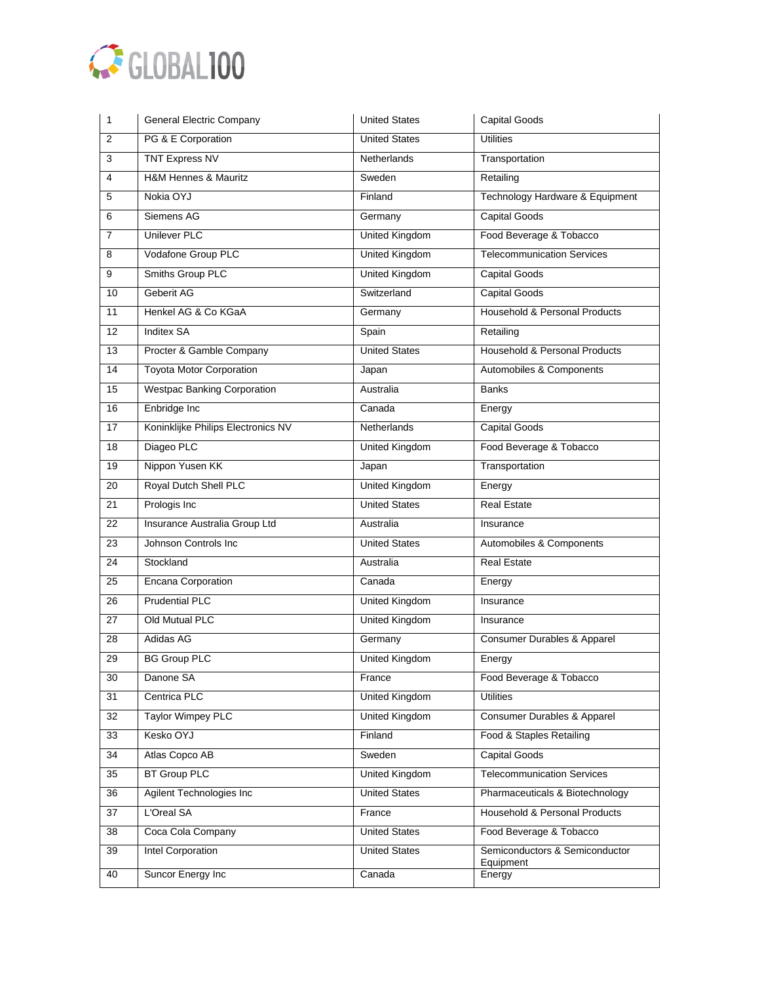

| 1               | <b>General Electric Company</b>    | <b>United States</b>  | <b>Capital Goods</b>                        |
|-----------------|------------------------------------|-----------------------|---------------------------------------------|
| $\overline{2}$  | PG & E Corporation                 | <b>United States</b>  | <b>Utilities</b>                            |
| 3               | <b>TNT Express NV</b>              | <b>Netherlands</b>    | Transportation                              |
| 4               | H&M Hennes & Mauritz               | Sweden                | Retailing                                   |
| 5               | Nokia OYJ                          | Finland               | Technology Hardware & Equipment             |
| 6               | Siemens AG                         | Germany               | <b>Capital Goods</b>                        |
| 7               | <b>Unilever PLC</b>                | <b>United Kingdom</b> | Food Beverage & Tobacco                     |
| 8               | Vodafone Group PLC                 | <b>United Kingdom</b> | <b>Telecommunication Services</b>           |
| 9               | Smiths Group PLC                   | <b>United Kingdom</b> | <b>Capital Goods</b>                        |
| 10              | Geberit AG                         | Switzerland           | <b>Capital Goods</b>                        |
| 11              | Henkel AG & Co KGaA                | Germany               | Household & Personal Products               |
| 12              | <b>Inditex SA</b>                  | Spain                 | Retailing                                   |
| 13              | Procter & Gamble Company           | <b>United States</b>  | Household & Personal Products               |
| $\overline{14}$ | <b>Toyota Motor Corporation</b>    | Japan                 | Automobiles & Components                    |
| 15              | <b>Westpac Banking Corporation</b> | Australia             | <b>Banks</b>                                |
| 16              | Enbridge Inc                       | Canada                | Energy                                      |
| 17              | Koninklijke Philips Electronics NV | Netherlands           | <b>Capital Goods</b>                        |
| 18              | Diageo PLC                         | United Kingdom        | Food Beverage & Tobacco                     |
| 19              | Nippon Yusen KK                    | Japan                 | Transportation                              |
| 20              | Royal Dutch Shell PLC              | <b>United Kingdom</b> | Energy                                      |
| 21              | Prologis Inc                       | <b>United States</b>  | <b>Real Estate</b>                          |
| 22              | Insurance Australia Group Ltd      | Australia             | Insurance                                   |
| $\overline{23}$ | Johnson Controls Inc               | <b>United States</b>  | Automobiles & Components                    |
| 24              | Stockland                          | Australia             | <b>Real Estate</b>                          |
| 25              | <b>Encana Corporation</b>          | Canada                | Energy                                      |
| 26              | <b>Prudential PLC</b>              | <b>United Kingdom</b> | Insurance                                   |
| 27              | Old Mutual PLC                     | <b>United Kingdom</b> | Insurance                                   |
| 28              | Adidas AG                          | Germany               | Consumer Durables & Apparel                 |
| 29              | <b>BG Group PLC</b>                | <b>United Kingdom</b> | Energy                                      |
| 30              | Danone SA                          | France                | Food Beverage & Tobacco                     |
| $\overline{31}$ | Centrica PLC                       | <b>United Kingdom</b> | <b>Utilities</b>                            |
| 32              | <b>Taylor Wimpey PLC</b>           | United Kingdom        | Consumer Durables & Apparel                 |
| 33              | Kesko OYJ                          | Finland               | Food & Staples Retailing                    |
| 34              | Atlas Copco AB                     | Sweden                | <b>Capital Goods</b>                        |
| 35              | <b>BT Group PLC</b>                | <b>United Kingdom</b> | <b>Telecommunication Services</b>           |
| 36              | Agilent Technologies Inc           | <b>United States</b>  | Pharmaceuticals & Biotechnology             |
| 37              | L'Oreal SA                         | France                | Household & Personal Products               |
| 38              | Coca Cola Company                  | <b>United States</b>  | Food Beverage & Tobacco                     |
| 39              | Intel Corporation                  | <b>United States</b>  | Semiconductors & Semiconductor<br>Equipment |
| 40              | Suncor Energy Inc                  | Canada                | Energy                                      |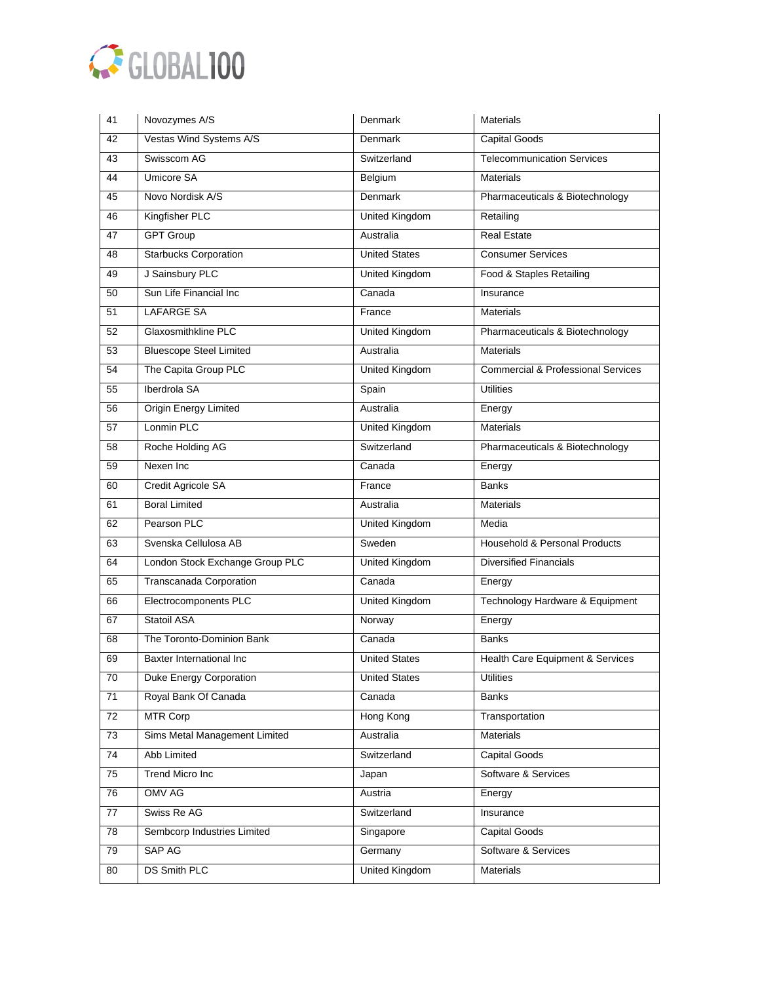

| 41 | Novozymes A/S                   | Denmark               | <b>Materials</b>                              |
|----|---------------------------------|-----------------------|-----------------------------------------------|
| 42 | Vestas Wind Systems A/S         | Denmark               | <b>Capital Goods</b>                          |
| 43 | Swisscom AG                     | Switzerland           | <b>Telecommunication Services</b>             |
| 44 | <b>Umicore SA</b>               | Belgium               | <b>Materials</b>                              |
| 45 | Novo Nordisk A/S                | Denmark               | Pharmaceuticals & Biotechnology               |
| 46 | Kingfisher PLC                  | United Kingdom        | Retailing                                     |
| 47 | <b>GPT Group</b>                | Australia             | <b>Real Estate</b>                            |
| 48 | <b>Starbucks Corporation</b>    | <b>United States</b>  | <b>Consumer Services</b>                      |
| 49 | J Sainsbury PLC                 | <b>United Kingdom</b> | Food & Staples Retailing                      |
| 50 | Sun Life Financial Inc          | Canada                | Insurance                                     |
| 51 | <b>LAFARGE SA</b>               | France                | <b>Materials</b>                              |
| 52 | Glaxosmithkline PLC             | United Kingdom        | Pharmaceuticals & Biotechnology               |
| 53 | <b>Bluescope Steel Limited</b>  | Australia             | <b>Materials</b>                              |
| 54 | The Capita Group PLC            | <b>United Kingdom</b> | <b>Commercial &amp; Professional Services</b> |
| 55 | Iberdrola SA                    | Spain                 | <b>Utilities</b>                              |
| 56 | <b>Origin Energy Limited</b>    | Australia             | Energy                                        |
| 57 | Lonmin PLC                      | United Kingdom        | <b>Materials</b>                              |
| 58 | Roche Holding AG                | Switzerland           | Pharmaceuticals & Biotechnology               |
| 59 | Nexen Inc                       | Canada                | Energy                                        |
| 60 | Credit Agricole SA              | France                | <b>Banks</b>                                  |
| 61 | <b>Boral Limited</b>            | Australia             | <b>Materials</b>                              |
| 62 | Pearson PLC                     | <b>United Kingdom</b> | Media                                         |
| 63 | Svenska Cellulosa AB            | Sweden                | Household & Personal Products                 |
| 64 | London Stock Exchange Group PLC | United Kingdom        | <b>Diversified Financials</b>                 |
| 65 | Transcanada Corporation         | Canada                | Energy                                        |
| 66 | Electrocomponents PLC           | <b>United Kingdom</b> | Technology Hardware & Equipment               |
| 67 | <b>Statoil ASA</b>              | Norway                | Energy                                        |
| 68 | The Toronto-Dominion Bank       | Canada                | <b>Banks</b>                                  |
| 69 | Baxter International Inc        | <b>United States</b>  | Health Care Equipment & Services              |
| 70 | Duke Energy Corporation         | <b>United States</b>  | <b>Utilities</b>                              |
| 71 | Royal Bank Of Canada            | Canada                | Banks                                         |
| 72 | <b>MTR Corp</b>                 | Hong Kong             | Transportation                                |
| 73 | Sims Metal Management Limited   | Australia             | Materials                                     |
| 74 | Abb Limited                     | Switzerland           | Capital Goods                                 |
| 75 | Trend Micro Inc                 | Japan                 | Software & Services                           |
| 76 | <b>OMV AG</b>                   | Austria               | Energy                                        |
| 77 | Swiss Re AG                     | Switzerland           | Insurance                                     |
| 78 | Sembcorp Industries Limited     | Singapore             | Capital Goods                                 |
| 79 | SAP AG                          | Germany               | Software & Services                           |
| 80 | <b>DS Smith PLC</b>             | <b>United Kingdom</b> | Materials                                     |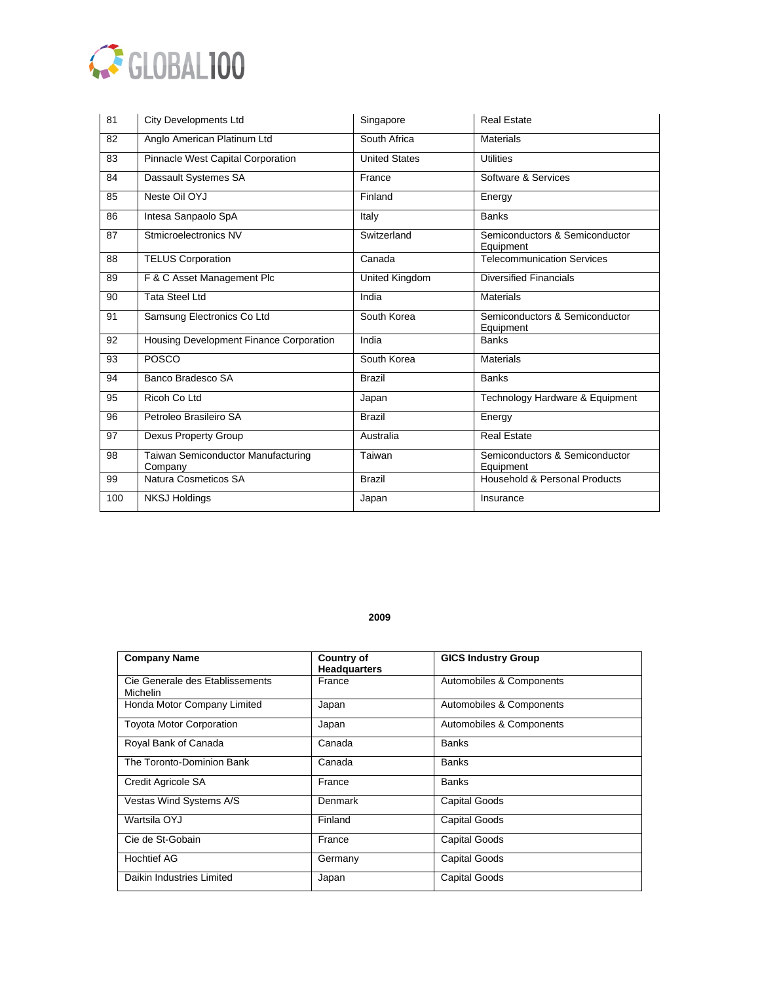

| 81  | <b>City Developments Ltd</b>                  | Singapore            | <b>Real Estate</b>                          |
|-----|-----------------------------------------------|----------------------|---------------------------------------------|
| 82  | Anglo American Platinum Ltd                   | South Africa         | <b>Materials</b>                            |
| 83  | Pinnacle West Capital Corporation             | <b>United States</b> | <b>Utilities</b>                            |
| 84  | Dassault Systemes SA                          | France               | Software & Services                         |
| 85  | Neste Oil OYJ                                 | Finland              | Energy                                      |
| 86  | Intesa Sanpaolo SpA                           | Italy                | <b>Banks</b>                                |
| 87  | Stmicroelectronics NV                         | Switzerland          | Semiconductors & Semiconductor<br>Equipment |
| 88  | <b>TELUS Corporation</b>                      | Canada               | <b>Telecommunication Services</b>           |
| 89  | F & C Asset Management Plc                    | United Kingdom       | <b>Diversified Financials</b>               |
| 90  | <b>Tata Steel Ltd</b>                         | India                | <b>Materials</b>                            |
| 91  | Samsung Electronics Co Ltd                    | South Korea          | Semiconductors & Semiconductor<br>Equipment |
| 92  | Housing Development Finance Corporation       | India                | <b>Banks</b>                                |
| 93  | <b>POSCO</b>                                  | South Korea          | <b>Materials</b>                            |
| 94  | Banco Bradesco SA                             | <b>Brazil</b>        | <b>Banks</b>                                |
| 95  | Ricoh Co Ltd                                  | Japan                | Technology Hardware & Equipment             |
| 96  | Petroleo Brasileiro SA                        | <b>Brazil</b>        | Energy                                      |
| 97  | Dexus Property Group                          | Australia            | <b>Real Estate</b>                          |
| 98  | Taiwan Semiconductor Manufacturing<br>Company | Taiwan               | Semiconductors & Semiconductor<br>Equipment |
| 99  | Natura Cosmeticos SA                          | <b>Brazil</b>        | Household & Personal Products               |
| 100 | <b>NKSJ Holdings</b>                          | Japan                | Insurance                                   |

| <b>Company Name</b>                                | <b>Country of</b><br><b>Headquarters</b> | <b>GICS Industry Group</b> |
|----------------------------------------------------|------------------------------------------|----------------------------|
| Cie Generale des Etablissements<br><b>Michelin</b> | France                                   | Automobiles & Components   |
| Honda Motor Company Limited                        | Japan                                    | Automobiles & Components   |
| <b>Toyota Motor Corporation</b>                    | Japan                                    | Automobiles & Components   |
| Royal Bank of Canada                               | Canada                                   | <b>Banks</b>               |
| The Toronto-Dominion Bank                          | Canada                                   | <b>Banks</b>               |
| Credit Agricole SA                                 | France                                   | <b>Banks</b>               |
| Vestas Wind Systems A/S                            | <b>Denmark</b>                           | <b>Capital Goods</b>       |
| Wartsila OYJ                                       | Finland                                  | <b>Capital Goods</b>       |
| Cie de St-Gobain                                   | France                                   | <b>Capital Goods</b>       |
| <b>Hochtief AG</b>                                 | Germany                                  | <b>Capital Goods</b>       |
| Daikin Industries Limited                          | Japan                                    | <b>Capital Goods</b>       |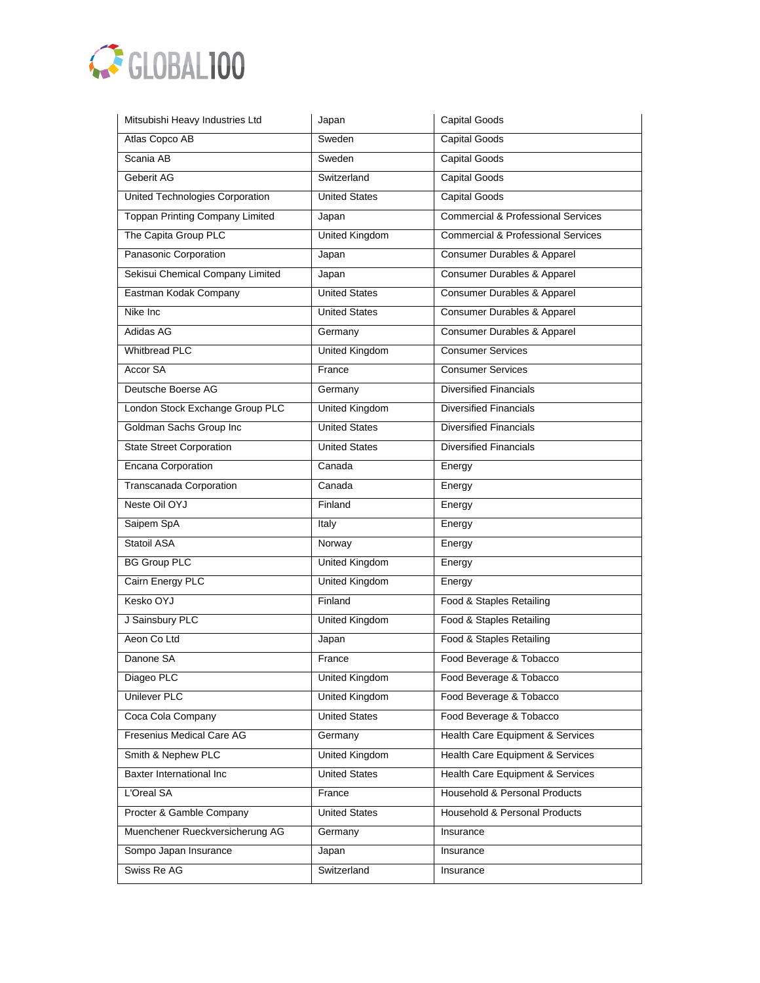

| Mitsubishi Heavy Industries Ltd        | Japan                 | <b>Capital Goods</b>                          |
|----------------------------------------|-----------------------|-----------------------------------------------|
| Atlas Copco AB                         | Sweden                | <b>Capital Goods</b>                          |
| Scania AB                              | Sweden                | <b>Capital Goods</b>                          |
| Geberit AG                             | Switzerland           | <b>Capital Goods</b>                          |
| United Technologies Corporation        | <b>United States</b>  | <b>Capital Goods</b>                          |
| <b>Toppan Printing Company Limited</b> | Japan                 | <b>Commercial &amp; Professional Services</b> |
| The Capita Group PLC                   | <b>United Kingdom</b> | <b>Commercial &amp; Professional Services</b> |
| Panasonic Corporation                  | Japan                 | Consumer Durables & Apparel                   |
| Sekisui Chemical Company Limited       | Japan                 | Consumer Durables & Apparel                   |
| Eastman Kodak Company                  | <b>United States</b>  | Consumer Durables & Apparel                   |
| Nike Inc                               | <b>United States</b>  | <b>Consumer Durables &amp; Apparel</b>        |
| Adidas AG                              | Germany               | Consumer Durables & Apparel                   |
| <b>Whitbread PLC</b>                   | <b>United Kingdom</b> | <b>Consumer Services</b>                      |
| <b>Accor SA</b>                        | France                | Consumer Services                             |
| Deutsche Boerse AG                     | Germany               | <b>Diversified Financials</b>                 |
| London Stock Exchange Group PLC        | <b>United Kingdom</b> | <b>Diversified Financials</b>                 |
| Goldman Sachs Group Inc                | <b>United States</b>  | <b>Diversified Financials</b>                 |
| <b>State Street Corporation</b>        | <b>United States</b>  | <b>Diversified Financials</b>                 |
| <b>Encana Corporation</b>              | Canada                | Energy                                        |
| Transcanada Corporation                | Canada                | Energy                                        |
| Neste Oil OYJ                          | Finland               | Energy                                        |
| Saipem SpA                             | Italy                 | Energy                                        |
| Statoil ASA                            | Norway                | Energy                                        |
| <b>BG Group PLC</b>                    | United Kingdom        | Energy                                        |
| Cairn Energy PLC                       | <b>United Kingdom</b> | Energy                                        |
| Kesko OYJ                              | Finland               | Food & Staples Retailing                      |
| J Sainsbury PLC                        | United Kingdom        | Food & Staples Retailing                      |
| Aeon Co Ltd                            | Japan                 | Food & Staples Retailing                      |
| Danone SA                              | France                | Food Beverage & Tobacco                       |
| Diageo PLC                             | United Kingdom        | Food Beverage & Tobacco                       |
| <b>Unilever PLC</b>                    | <b>United Kingdom</b> | Food Beverage & Tobacco                       |
| Coca Cola Company                      | <b>United States</b>  | Food Beverage & Tobacco                       |
| Fresenius Medical Care AG              | Germany               | Health Care Equipment & Services              |
| Smith & Nephew PLC                     | <b>United Kingdom</b> | Health Care Equipment & Services              |
| <b>Baxter International Inc</b>        | <b>United States</b>  | Health Care Equipment & Services              |
| L'Oreal SA                             | France                | Household & Personal Products                 |
| Procter & Gamble Company               | <b>United States</b>  | Household & Personal Products                 |
| Muenchener Rueckversicherung AG        | Germany               | Insurance                                     |
| Sompo Japan Insurance                  | Japan                 | Insurance                                     |
| Swiss Re AG                            | Switzerland           | Insurance                                     |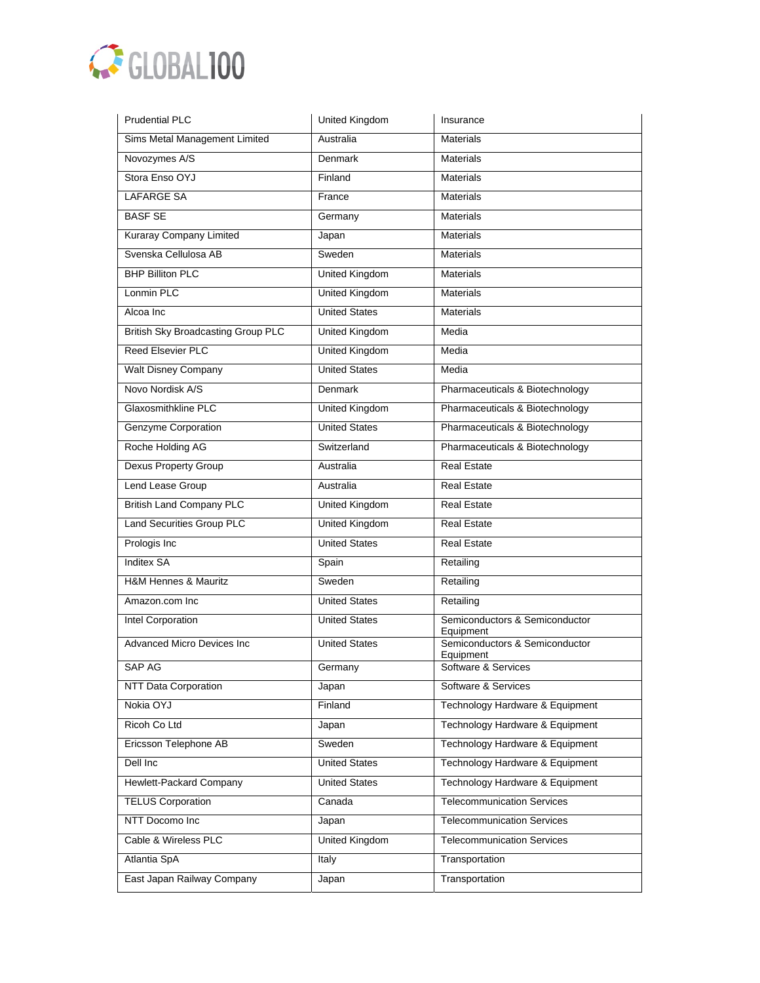

| <b>Prudential PLC</b>                     | United Kingdom        | Insurance                                   |
|-------------------------------------------|-----------------------|---------------------------------------------|
| Sims Metal Management Limited             | Australia             | <b>Materials</b>                            |
| Novozymes A/S                             | Denmark               | <b>Materials</b>                            |
| Stora Enso OYJ                            | Finland               | <b>Materials</b>                            |
| <b>LAFARGE SA</b>                         | France                | <b>Materials</b>                            |
| <b>BASF SE</b>                            | Germany               | <b>Materials</b>                            |
| <b>Kuraray Company Limited</b>            | Japan                 | <b>Materials</b>                            |
| Svenska Cellulosa AB                      | Sweden                | <b>Materials</b>                            |
| <b>BHP Billiton PLC</b>                   | United Kingdom        | <b>Materials</b>                            |
| Lonmin PLC                                | <b>United Kingdom</b> | <b>Materials</b>                            |
| Alcoa Inc                                 | <b>United States</b>  | <b>Materials</b>                            |
| <b>British Sky Broadcasting Group PLC</b> | United Kingdom        | Media                                       |
| Reed Elsevier PLC                         | <b>United Kingdom</b> | Media                                       |
| <b>Walt Disney Company</b>                | <b>United States</b>  | Media                                       |
| Novo Nordisk A/S                          | <b>Denmark</b>        | Pharmaceuticals & Biotechnology             |
| Glaxosmithkline PLC                       | <b>United Kingdom</b> | Pharmaceuticals & Biotechnology             |
| <b>Genzyme Corporation</b>                | <b>United States</b>  | Pharmaceuticals & Biotechnology             |
| Roche Holding AG                          | Switzerland           | Pharmaceuticals & Biotechnology             |
| Dexus Property Group                      | Australia             | <b>Real Estate</b>                          |
| Lend Lease Group                          | Australia             | <b>Real Estate</b>                          |
| <b>British Land Company PLC</b>           | United Kingdom        | <b>Real Estate</b>                          |
| Land Securities Group PLC                 | <b>United Kingdom</b> | <b>Real Estate</b>                          |
| Prologis Inc                              | <b>United States</b>  | <b>Real Estate</b>                          |
| <b>Inditex SA</b>                         | Spain                 | Retailing                                   |
| H&M Hennes & Mauritz                      | Sweden                | Retailing                                   |
| Amazon.com Inc                            | <b>United States</b>  | Retailing                                   |
| Intel Corporation                         | <b>United States</b>  | Semiconductors & Semiconductor<br>Equipment |
| <b>Advanced Micro Devices Inc</b>         | <b>United States</b>  | Semiconductors & Semiconductor<br>Equipment |
| SAP AG                                    | Germany               | Software & Services                         |
| <b>NTT Data Corporation</b>               | Japan                 | Software & Services                         |
| Nokia OYJ                                 | Finland               | Technology Hardware & Equipment             |
| Ricoh Co Ltd                              | Japan                 | Technology Hardware & Equipment             |
| Ericsson Telephone AB                     | Sweden                | Technology Hardware & Equipment             |
| Dell Inc                                  | <b>United States</b>  | Technology Hardware & Equipment             |
| Hewlett-Packard Company                   | <b>United States</b>  | Technology Hardware & Equipment             |
| <b>TELUS Corporation</b>                  | Canada                | <b>Telecommunication Services</b>           |
| NTT Docomo Inc                            | Japan                 | <b>Telecommunication Services</b>           |
| Cable & Wireless PLC                      | United Kingdom        | <b>Telecommunication Services</b>           |
| Atlantia SpA                              | Italy                 | Transportation                              |
| East Japan Railway Company                | Japan                 | Transportation                              |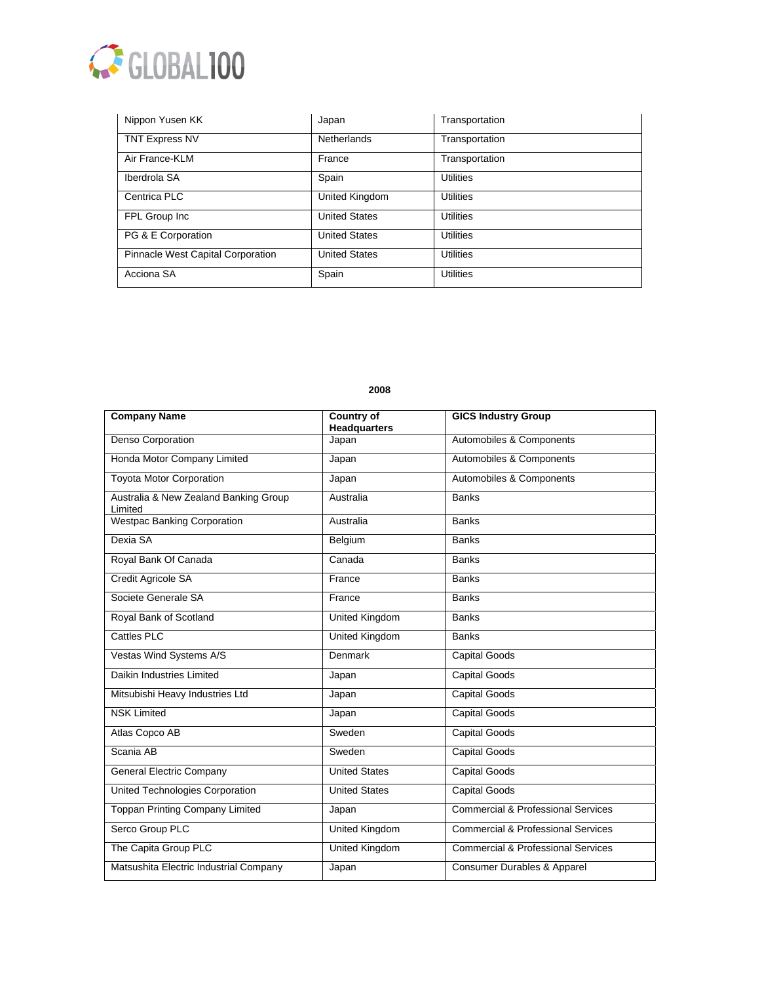

| Nippon Yusen KK                   | Japan                | Transportation   |
|-----------------------------------|----------------------|------------------|
| <b>TNT Express NV</b>             | <b>Netherlands</b>   | Transportation   |
| Air France-KLM                    | France               | Transportation   |
| Iberdrola SA                      | Spain                | <b>Utilities</b> |
| Centrica PLC                      | United Kingdom       | Utilities        |
| FPL Group Inc                     | <b>United States</b> | <b>Utilities</b> |
| PG & E Corporation                | <b>United States</b> | <b>Utilities</b> |
| Pinnacle West Capital Corporation | <b>United States</b> | <b>Utilities</b> |
| Acciona SA                        | Spain                | <b>Utilities</b> |

| <b>Company Name</b>                              | <b>Country of</b><br><b>Headquarters</b> | <b>GICS Industry Group</b>                    |
|--------------------------------------------------|------------------------------------------|-----------------------------------------------|
| Denso Corporation                                | Japan                                    | Automobiles & Components                      |
| Honda Motor Company Limited                      | Japan                                    | Automobiles & Components                      |
| <b>Toyota Motor Corporation</b>                  | Japan                                    | Automobiles & Components                      |
| Australia & New Zealand Banking Group<br>Limited | Australia                                | <b>Banks</b>                                  |
| <b>Westpac Banking Corporation</b>               | Australia                                | <b>Banks</b>                                  |
| Dexia SA                                         | Belgium                                  | <b>Banks</b>                                  |
| Royal Bank Of Canada                             | Canada                                   | <b>Banks</b>                                  |
| Credit Agricole SA                               | France                                   | <b>Banks</b>                                  |
| Societe Generale SA                              | France                                   | <b>Banks</b>                                  |
| Royal Bank of Scotland                           | <b>United Kingdom</b>                    | <b>Banks</b>                                  |
| Cattles PLC                                      | United Kingdom                           | <b>Banks</b>                                  |
| Vestas Wind Systems A/S                          | Denmark                                  | <b>Capital Goods</b>                          |
| Daikin Industries Limited                        | Japan                                    | <b>Capital Goods</b>                          |
| Mitsubishi Heavy Industries Ltd                  | Japan                                    | <b>Capital Goods</b>                          |
| <b>NSK Limited</b>                               | Japan                                    | <b>Capital Goods</b>                          |
| Atlas Copco AB                                   | Sweden                                   | <b>Capital Goods</b>                          |
| Scania AB                                        | Sweden                                   | <b>Capital Goods</b>                          |
| <b>General Electric Company</b>                  | <b>United States</b>                     | <b>Capital Goods</b>                          |
| United Technologies Corporation                  | <b>United States</b>                     | <b>Capital Goods</b>                          |
| <b>Toppan Printing Company Limited</b>           | Japan                                    | <b>Commercial &amp; Professional Services</b> |
| Serco Group PLC                                  | <b>United Kingdom</b>                    | <b>Commercial &amp; Professional Services</b> |
| The Capita Group PLC                             | <b>United Kingdom</b>                    | <b>Commercial &amp; Professional Services</b> |
| Matsushita Electric Industrial Company           | Japan                                    | <b>Consumer Durables &amp; Apparel</b>        |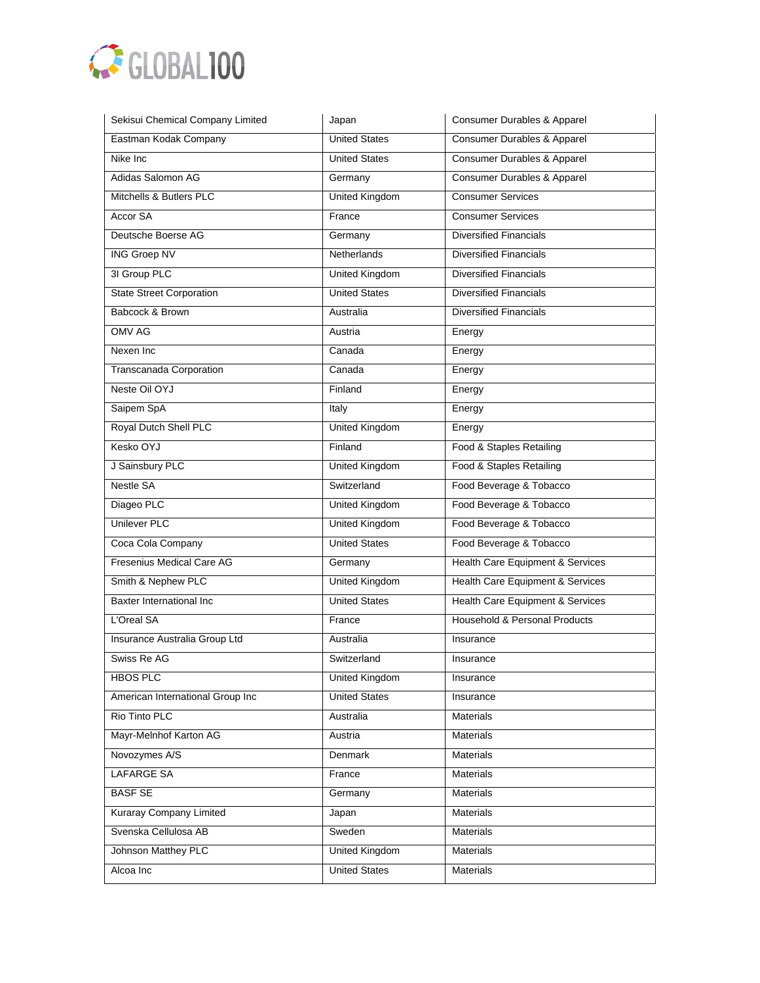

| Sekisui Chemical Company Limited | Japan                 | Consumer Durables & Apparel            |
|----------------------------------|-----------------------|----------------------------------------|
| Eastman Kodak Company            | <b>United States</b>  | <b>Consumer Durables &amp; Apparel</b> |
| Nike Inc                         | <b>United States</b>  | Consumer Durables & Apparel            |
| Adidas Salomon AG                | Germany               | Consumer Durables & Apparel            |
| Mitchells & Butlers PLC          | <b>United Kingdom</b> | <b>Consumer Services</b>               |
| Accor SA                         | France                | <b>Consumer Services</b>               |
| Deutsche Boerse AG               | Germany               | <b>Diversified Financials</b>          |
| <b>ING Groep NV</b>              | Netherlands           | <b>Diversified Financials</b>          |
| 3I Group PLC                     | United Kingdom        | <b>Diversified Financials</b>          |
| <b>State Street Corporation</b>  | <b>United States</b>  | <b>Diversified Financials</b>          |
| Babcock & Brown                  | Australia             | <b>Diversified Financials</b>          |
| OMV AG                           | Austria               | Energy                                 |
| Nexen Inc                        | Canada                | Energy                                 |
| Transcanada Corporation          | Canada                | Energy                                 |
| Neste Oil OYJ                    | Finland               | Energy                                 |
| Saipem SpA                       | Italy                 | Energy                                 |
| Royal Dutch Shell PLC            | <b>United Kingdom</b> | Energy                                 |
| Kesko OYJ                        | Finland               | Food & Staples Retailing               |
| J Sainsbury PLC                  | <b>United Kingdom</b> | Food & Staples Retailing               |
| <b>Nestle SA</b>                 | Switzerland           | Food Beverage & Tobacco                |
| Diageo PLC                       | United Kingdom        | Food Beverage & Tobacco                |
| <b>Unilever PLC</b>              | United Kingdom        | Food Beverage & Tobacco                |
| Coca Cola Company                | <b>United States</b>  | Food Beverage & Tobacco                |
| Fresenius Medical Care AG        | Germany               | Health Care Equipment & Services       |
| Smith & Nephew PLC               | United Kingdom        | Health Care Equipment & Services       |
| Baxter International Inc         | <b>United States</b>  | Health Care Equipment & Services       |
| L'Oreal SA                       | France                | Household & Personal Products          |
| Insurance Australia Group Ltd    | Australia             | Insurance                              |
| Swiss Re AG                      | Switzerland           | Insurance                              |
| <b>HBOS PLC</b>                  | United Kingdom        | Insurance                              |
| American International Group Inc | <b>United States</b>  | Insurance                              |
| Rio Tinto PLC                    | Australia             | Materials                              |
| Mayr-Melnhof Karton AG           | Austria               | Materials                              |
| Novozymes A/S                    | Denmark               | <b>Materials</b>                       |
| <b>LAFARGE SA</b>                | France                | Materials                              |
| <b>BASF SE</b>                   | Germany               | <b>Materials</b>                       |
| <b>Kuraray Company Limited</b>   | Japan                 | <b>Materials</b>                       |
| Svenska Cellulosa AB             | Sweden                | Materials                              |
| Johnson Matthey PLC              | United Kingdom        | Materials                              |
| Alcoa Inc                        | <b>United States</b>  | Materials                              |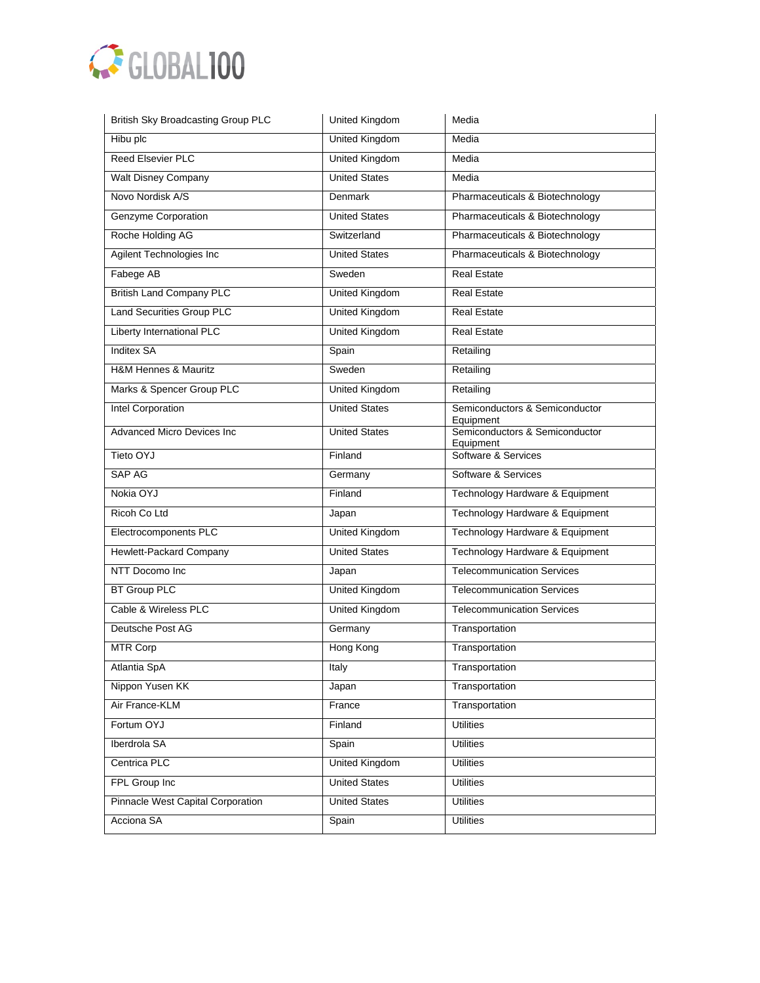

| <b>British Sky Broadcasting Group PLC</b> | United Kingdom        | Media                                       |
|-------------------------------------------|-----------------------|---------------------------------------------|
| Hibu plc                                  | United Kingdom        | Media                                       |
| Reed Elsevier PLC                         | <b>United Kingdom</b> | Media                                       |
| <b>Walt Disney Company</b>                | <b>United States</b>  | Media                                       |
| Novo Nordisk A/S                          | Denmark               | Pharmaceuticals & Biotechnology             |
| Genzyme Corporation                       | <b>United States</b>  | Pharmaceuticals & Biotechnology             |
| Roche Holding AG                          | Switzerland           | Pharmaceuticals & Biotechnology             |
| Agilent Technologies Inc                  | <b>United States</b>  | Pharmaceuticals & Biotechnology             |
| Fabege AB                                 | Sweden                | <b>Real Estate</b>                          |
| <b>British Land Company PLC</b>           | <b>United Kingdom</b> | <b>Real Estate</b>                          |
| <b>Land Securities Group PLC</b>          | <b>United Kingdom</b> | <b>Real Estate</b>                          |
| Liberty International PLC                 | <b>United Kingdom</b> | <b>Real Estate</b>                          |
| <b>Inditex SA</b>                         | Spain                 | Retailing                                   |
| <b>H&amp;M Hennes &amp; Mauritz</b>       | Sweden                | Retailing                                   |
| Marks & Spencer Group PLC                 | United Kingdom        | Retailing                                   |
| Intel Corporation                         | <b>United States</b>  | Semiconductors & Semiconductor<br>Equipment |
| Advanced Micro Devices Inc                | <b>United States</b>  | Semiconductors & Semiconductor<br>Equipment |
| Tieto OYJ                                 | Finland               | Software & Services                         |
| <b>SAP AG</b>                             | Germany               | Software & Services                         |
| Nokia OYJ                                 | Finland               | Technology Hardware & Equipment             |
| Ricoh Co Ltd                              | Japan                 | Technology Hardware & Equipment             |
| Electrocomponents PLC                     | United Kingdom        | Technology Hardware & Equipment             |
| Hewlett-Packard Company                   | <b>United States</b>  | Technology Hardware & Equipment             |
| NTT Docomo Inc                            | Japan                 | <b>Telecommunication Services</b>           |
| <b>BT Group PLC</b>                       | <b>United Kingdom</b> | <b>Telecommunication Services</b>           |
| Cable & Wireless PLC                      | United Kingdom        | <b>Telecommunication Services</b>           |
| Deutsche Post AG                          | Germany               | Transportation                              |
| <b>MTR Corp</b>                           | Hong Kong             | Transportation                              |
| Atlantia SpA                              | Italy                 | Transportation                              |
| Nippon Yusen KK                           | Japan                 | Transportation                              |
| Air France-KLM                            | France                | Transportation                              |
| Fortum OYJ                                | Finland               | <b>Utilities</b>                            |
| Iberdrola SA                              | Spain                 | <b>Utilities</b>                            |
| Centrica PLC                              | <b>United Kingdom</b> | <b>Utilities</b>                            |
| FPL Group Inc                             | <b>United States</b>  | <b>Utilities</b>                            |
| <b>Pinnacle West Capital Corporation</b>  | <b>United States</b>  | <b>Utilities</b>                            |
| Acciona SA                                | Spain                 | <b>Utilities</b>                            |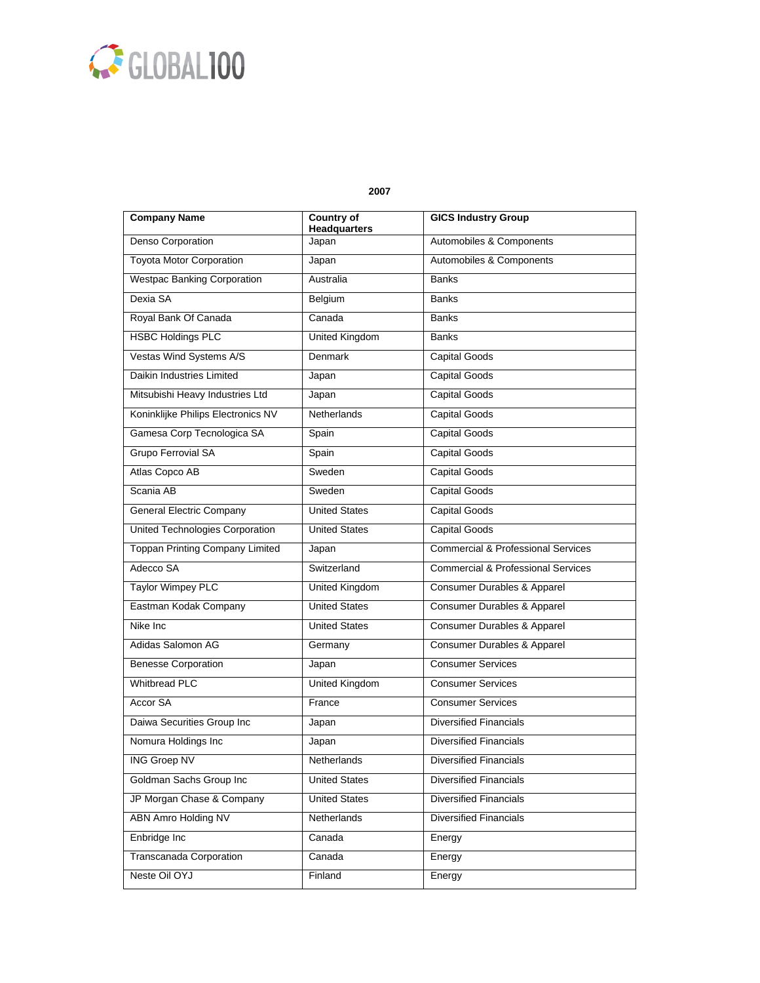

| <b>Company Name</b>                    | <b>Country of</b><br><b>Headquarters</b> | <b>GICS Industry Group</b>                    |
|----------------------------------------|------------------------------------------|-----------------------------------------------|
| Denso Corporation                      | Japan                                    | Automobiles & Components                      |
| <b>Toyota Motor Corporation</b>        | Japan                                    | Automobiles & Components                      |
| <b>Westpac Banking Corporation</b>     | Australia                                | <b>Banks</b>                                  |
| Dexia SA                               | Belgium                                  | <b>Banks</b>                                  |
| Royal Bank Of Canada                   | Canada                                   | <b>Banks</b>                                  |
| <b>HSBC Holdings PLC</b>               | <b>United Kingdom</b>                    | <b>Banks</b>                                  |
| Vestas Wind Systems A/S                | <b>Denmark</b>                           | <b>Capital Goods</b>                          |
| Daikin Industries Limited              | Japan                                    | <b>Capital Goods</b>                          |
| Mitsubishi Heavy Industries Ltd        | Japan                                    | Capital Goods                                 |
| Koninklijke Philips Electronics NV     | Netherlands                              | <b>Capital Goods</b>                          |
| Gamesa Corp Tecnologica SA             | Spain                                    | Capital Goods                                 |
| <b>Grupo Ferrovial SA</b>              | Spain                                    | <b>Capital Goods</b>                          |
| Atlas Copco AB                         | Sweden                                   | <b>Capital Goods</b>                          |
| Scania AB                              | Sweden                                   | <b>Capital Goods</b>                          |
| <b>General Electric Company</b>        | <b>United States</b>                     | <b>Capital Goods</b>                          |
| United Technologies Corporation        | <b>United States</b>                     | Capital Goods                                 |
| <b>Toppan Printing Company Limited</b> | Japan                                    | <b>Commercial &amp; Professional Services</b> |
| Adecco SA                              | Switzerland                              | <b>Commercial &amp; Professional Services</b> |
| <b>Taylor Wimpey PLC</b>               | United Kingdom                           | <b>Consumer Durables &amp; Apparel</b>        |
| Eastman Kodak Company                  | <b>United States</b>                     | Consumer Durables & Apparel                   |
| Nike Inc                               | <b>United States</b>                     | Consumer Durables & Apparel                   |
| Adidas Salomon AG                      | Germany                                  | Consumer Durables & Apparel                   |
| <b>Benesse Corporation</b>             | Japan                                    | <b>Consumer Services</b>                      |
| <b>Whitbread PLC</b>                   | <b>United Kingdom</b>                    | <b>Consumer Services</b>                      |
| <b>Accor SA</b>                        | France                                   | <b>Consumer Services</b>                      |
| Daiwa Securities Group Inc             | Japan                                    | <b>Diversified Financials</b>                 |
| Nomura Holdings Inc                    | Japan                                    | <b>Diversified Financials</b>                 |
| <b>ING Groep NV</b>                    | Netherlands                              | <b>Diversified Financials</b>                 |
| Goldman Sachs Group Inc                | <b>United States</b>                     | <b>Diversified Financials</b>                 |
| JP Morgan Chase & Company              | <b>United States</b>                     | <b>Diversified Financials</b>                 |
| <b>ABN Amro Holding NV</b>             | Netherlands                              | <b>Diversified Financials</b>                 |
| Enbridge Inc                           | Canada                                   | Energy                                        |
| Transcanada Corporation                | Canada                                   | Energy                                        |
| Neste Oil OYJ                          | Finland                                  | Energy                                        |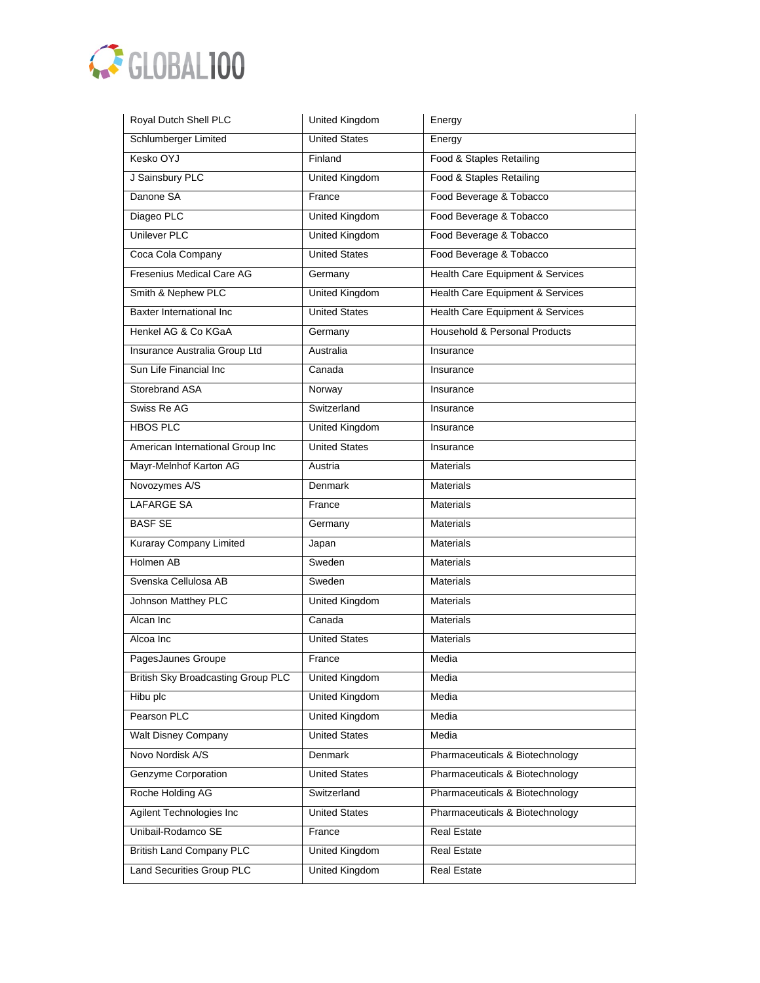

| <b>United States</b><br>Schlumberger Limited<br>Kesko OYJ<br>Finland | Energy<br>Food & Staples Retailing<br>Food & Staples Retailing |
|----------------------------------------------------------------------|----------------------------------------------------------------|
|                                                                      |                                                                |
|                                                                      |                                                                |
| J Sainsbury PLC<br><b>United Kingdom</b>                             |                                                                |
| Danone SA<br>France                                                  | Food Beverage & Tobacco                                        |
| Diageo PLC<br><b>United Kingdom</b>                                  | Food Beverage & Tobacco                                        |
| <b>Unilever PLC</b><br><b>United Kingdom</b>                         | Food Beverage & Tobacco                                        |
| <b>United States</b><br>Coca Cola Company                            | Food Beverage & Tobacco                                        |
| Fresenius Medical Care AG<br>Germany                                 | Health Care Equipment & Services                               |
| Smith & Nephew PLC<br><b>United Kingdom</b>                          | Health Care Equipment & Services                               |
| <b>United States</b><br>Baxter International Inc.                    | Health Care Equipment & Services                               |
| Henkel AG & Co KGaA<br>Germany                                       | Household & Personal Products                                  |
| Insurance Australia Group Ltd<br>Australia                           | Insurance                                                      |
| Sun Life Financial Inc<br>Canada                                     | Insurance                                                      |
| Storebrand ASA<br>Norway                                             | Insurance                                                      |
| Swiss Re AG<br>Switzerland                                           | Insurance                                                      |
| <b>HBOS PLC</b><br>United Kingdom                                    | Insurance                                                      |
| <b>United States</b><br>American International Group Inc             | Insurance                                                      |
| Mayr-Melnhof Karton AG<br>Austria                                    | <b>Materials</b>                                               |
| Novozymes A/S<br>Denmark                                             | <b>Materials</b>                                               |
| <b>LAFARGE SA</b><br>France                                          | <b>Materials</b>                                               |
| <b>BASF SE</b><br>Germany                                            | <b>Materials</b>                                               |
| <b>Kuraray Company Limited</b><br>Japan                              | <b>Materials</b>                                               |
| Holmen AB<br>Sweden                                                  | <b>Materials</b>                                               |
| Svenska Cellulosa AB<br>Sweden                                       | <b>Materials</b>                                               |
| Johnson Matthey PLC<br><b>United Kingdom</b>                         | <b>Materials</b>                                               |
| Alcan Inc<br>Canada                                                  | <b>Materials</b>                                               |
| <b>United States</b><br>Alcoa Inc                                    | <b>Materials</b>                                               |
| PagesJaunes Groupe<br>France                                         | Media                                                          |
| <b>British Sky Broadcasting Group PLC</b><br>United Kingdom          | Media                                                          |
| Hibu plc<br><b>United Kingdom</b>                                    | Media                                                          |
| Pearson PLC<br><b>United Kingdom</b>                                 | Media                                                          |
| <b>United States</b><br>Walt Disney Company                          | Media                                                          |
| Novo Nordisk A/S<br>Denmark                                          | Pharmaceuticals & Biotechnology                                |
| <b>Genzyme Corporation</b><br><b>United States</b>                   | Pharmaceuticals & Biotechnology                                |
| Roche Holding AG<br>Switzerland                                      | Pharmaceuticals & Biotechnology                                |
| Agilent Technologies Inc<br><b>United States</b>                     | Pharmaceuticals & Biotechnology                                |
| Unibail-Rodamco SE<br>France                                         | <b>Real Estate</b>                                             |
| <b>British Land Company PLC</b><br>United Kingdom                    | Real Estate                                                    |
| Land Securities Group PLC<br><b>United Kingdom</b>                   | Real Estate                                                    |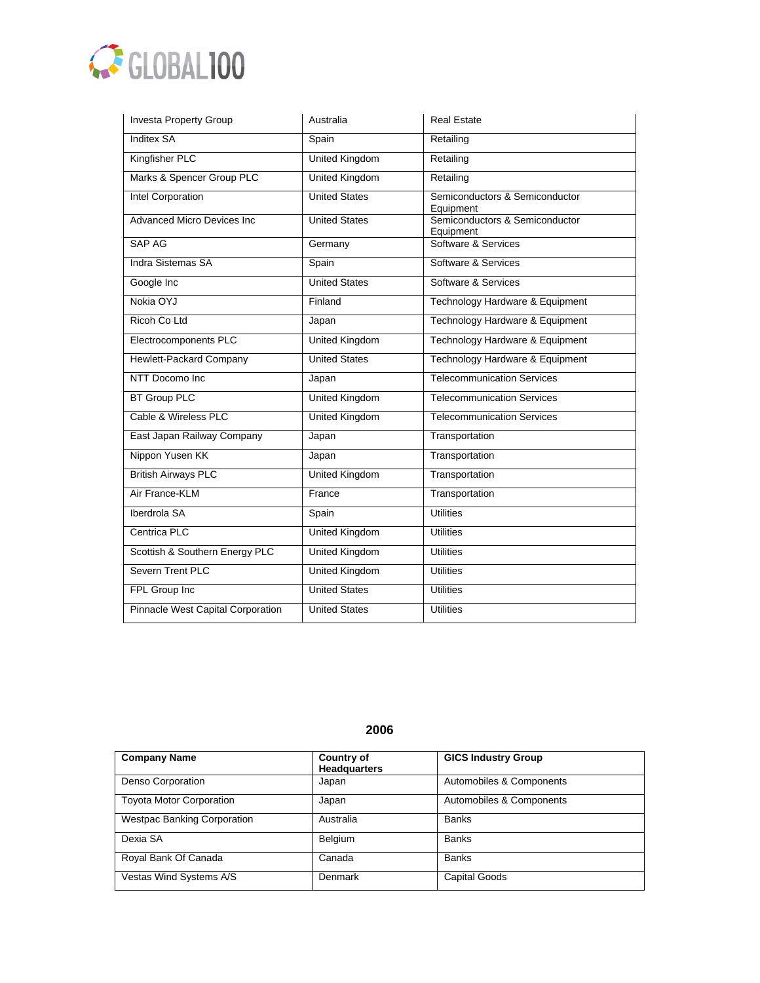

| Investa Property Group            | Australia             | <b>Real Estate</b>                          |
|-----------------------------------|-----------------------|---------------------------------------------|
| <b>Inditex SA</b>                 | Spain                 | Retailing                                   |
| Kingfisher PLC                    | <b>United Kingdom</b> | Retailing                                   |
| Marks & Spencer Group PLC         | <b>United Kingdom</b> | Retailing                                   |
| <b>Intel Corporation</b>          | <b>United States</b>  | Semiconductors & Semiconductor<br>Equipment |
| <b>Advanced Micro Devices Inc</b> | <b>United States</b>  | Semiconductors & Semiconductor<br>Equipment |
| SAP AG                            | Germany               | Software & Services                         |
| Indra Sistemas SA                 | Spain                 | Software & Services                         |
| Google Inc                        | <b>United States</b>  | Software & Services                         |
| Nokia OYJ                         | Finland               | Technology Hardware & Equipment             |
| Ricoh Co Ltd                      | Japan                 | Technology Hardware & Equipment             |
| Electrocomponents PLC             | <b>United Kingdom</b> | Technology Hardware & Equipment             |
| Hewlett-Packard Company           | <b>United States</b>  | Technology Hardware & Equipment             |
| NTT Docomo Inc                    | Japan                 | <b>Telecommunication Services</b>           |
| <b>BT Group PLC</b>               | <b>United Kingdom</b> | <b>Telecommunication Services</b>           |
| Cable & Wireless PLC              | <b>United Kingdom</b> | <b>Telecommunication Services</b>           |
| East Japan Railway Company        | Japan                 | Transportation                              |
| Nippon Yusen KK                   | Japan                 | Transportation                              |
| <b>British Airways PLC</b>        | <b>United Kingdom</b> | Transportation                              |
| Air France-KLM                    | France                | Transportation                              |
| Iberdrola SA                      | Spain                 | <b>Utilities</b>                            |
| Centrica PLC                      | <b>United Kingdom</b> | <b>Utilities</b>                            |
| Scottish & Southern Energy PLC    | United Kingdom        | <b>Utilities</b>                            |
| Severn Trent PLC                  | <b>United Kingdom</b> | <b>Utilities</b>                            |
| FPL Group Inc                     | <b>United States</b>  | <b>Utilities</b>                            |
| Pinnacle West Capital Corporation | <b>United States</b>  | <b>Utilities</b>                            |

| <b>Company Name</b>                | <b>Country of</b>   | <b>GICS Industry Group</b> |
|------------------------------------|---------------------|----------------------------|
|                                    | <b>Headquarters</b> |                            |
| Denso Corporation                  | Japan               | Automobiles & Components   |
| <b>Toyota Motor Corporation</b>    | Japan               | Automobiles & Components   |
| <b>Westpac Banking Corporation</b> | Australia           | <b>Banks</b>               |
| Dexia SA                           | Belgium             | <b>Banks</b>               |
| Royal Bank Of Canada               | Canada              | <b>Banks</b>               |
| Vestas Wind Systems A/S            | Denmark             | <b>Capital Goods</b>       |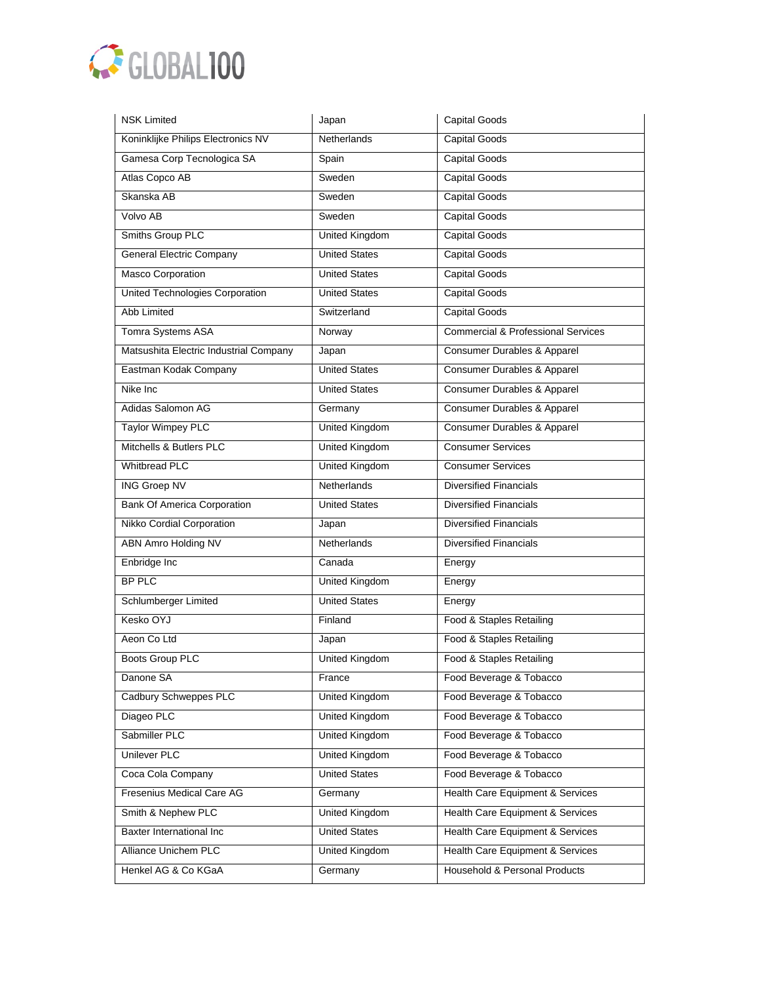

| <b>NSK Limited</b>                     | Japan                 | <b>Capital Goods</b>                          |
|----------------------------------------|-----------------------|-----------------------------------------------|
| Koninklijke Philips Electronics NV     | <b>Netherlands</b>    | <b>Capital Goods</b>                          |
| Gamesa Corp Tecnologica SA             | Spain                 | <b>Capital Goods</b>                          |
| Atlas Copco AB                         | Sweden                | <b>Capital Goods</b>                          |
| Skanska AB                             | Sweden                | <b>Capital Goods</b>                          |
| Volvo AB                               | Sweden                | Capital Goods                                 |
| Smiths Group PLC                       | <b>United Kingdom</b> | <b>Capital Goods</b>                          |
| <b>General Electric Company</b>        | <b>United States</b>  | <b>Capital Goods</b>                          |
| Masco Corporation                      | <b>United States</b>  | Capital Goods                                 |
| United Technologies Corporation        | <b>United States</b>  | <b>Capital Goods</b>                          |
| Abb Limited                            | Switzerland           | <b>Capital Goods</b>                          |
| Tomra Systems ASA                      | Norway                | <b>Commercial &amp; Professional Services</b> |
| Matsushita Electric Industrial Company | Japan                 | Consumer Durables & Apparel                   |
| Eastman Kodak Company                  | <b>United States</b>  | Consumer Durables & Apparel                   |
| Nike Inc                               | <b>United States</b>  | Consumer Durables & Apparel                   |
| Adidas Salomon AG                      | Germany               | Consumer Durables & Apparel                   |
| <b>Taylor Wimpey PLC</b>               | United Kingdom        | Consumer Durables & Apparel                   |
| Mitchells & Butlers PLC                | United Kingdom        | <b>Consumer Services</b>                      |
| <b>Whitbread PLC</b>                   | <b>United Kingdom</b> | <b>Consumer Services</b>                      |
| <b>ING Groep NV</b>                    | Netherlands           | <b>Diversified Financials</b>                 |
| <b>Bank Of America Corporation</b>     | <b>United States</b>  | <b>Diversified Financials</b>                 |
| Nikko Cordial Corporation              | Japan                 | <b>Diversified Financials</b>                 |
| <b>ABN Amro Holding NV</b>             | <b>Netherlands</b>    | <b>Diversified Financials</b>                 |
| Enbridge Inc                           | Canada                | Energy                                        |
| BP PLC                                 | <b>United Kingdom</b> | Energy                                        |
| Schlumberger Limited                   | <b>United States</b>  | Energy                                        |
| Kesko OYJ                              | Finland               | Food & Staples Retailing                      |
| Aeon Co Ltd                            | Japan                 | Food & Staples Retailing                      |
| <b>Boots Group PLC</b>                 | <b>United Kingdom</b> | Food & Staples Retailing                      |
| Danone SA                              | France                | Food Beverage & Tobacco                       |
| Cadbury Schweppes PLC                  | United Kingdom        | Food Beverage & Tobacco                       |
| Diageo PLC                             | <b>United Kingdom</b> | Food Beverage & Tobacco                       |
| Sabmiller PLC                          | United Kingdom        | Food Beverage & Tobacco                       |
| Unilever PLC                           | United Kingdom        | Food Beverage & Tobacco                       |
| Coca Cola Company                      | <b>United States</b>  | Food Beverage & Tobacco                       |
| Fresenius Medical Care AG              | Germany               | Health Care Equipment & Services              |
| Smith & Nephew PLC                     | <b>United Kingdom</b> | Health Care Equipment & Services              |
| <b>Baxter International Inc</b>        | <b>United States</b>  | Health Care Equipment & Services              |
| Alliance Unichem PLC                   | United Kingdom        | Health Care Equipment & Services              |
| Henkel AG & Co KGaA                    | Germany               | Household & Personal Products                 |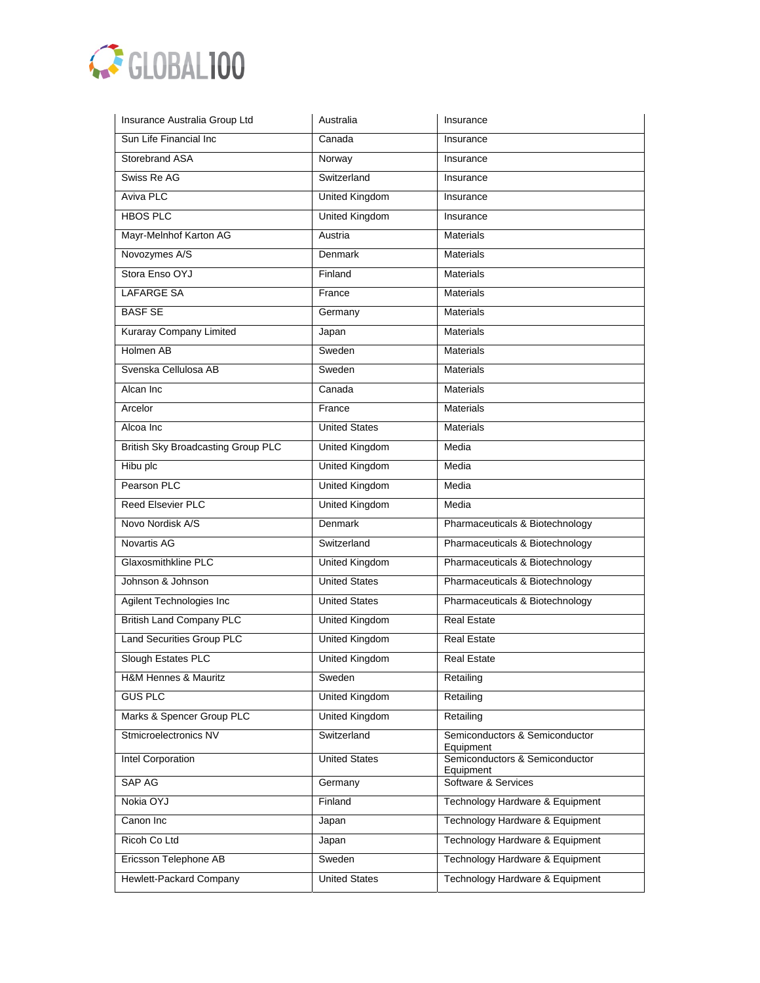

| Insurance Australia Group Ltd             | Australia             | Insurance                                   |
|-------------------------------------------|-----------------------|---------------------------------------------|
| Sun Life Financial Inc                    | Canada                | Insurance                                   |
| Storebrand ASA                            | Norway                | Insurance                                   |
| Swiss Re AG                               | Switzerland           | Insurance                                   |
| Aviva PLC                                 | <b>United Kingdom</b> | Insurance                                   |
| <b>HBOS PLC</b>                           | <b>United Kingdom</b> | Insurance                                   |
| Mayr-Melnhof Karton AG                    | Austria               | <b>Materials</b>                            |
| Novozymes A/S                             | <b>Denmark</b>        | <b>Materials</b>                            |
| Stora Enso OYJ                            | Finland               | <b>Materials</b>                            |
| <b>LAFARGE SA</b>                         | France                | <b>Materials</b>                            |
| <b>BASF SE</b>                            | Germany               | <b>Materials</b>                            |
| Kuraray Company Limited                   | Japan                 | <b>Materials</b>                            |
| Holmen AB                                 | Sweden                | <b>Materials</b>                            |
| Svenska Cellulosa AB                      | Sweden                | <b>Materials</b>                            |
| Alcan Inc                                 | Canada                | <b>Materials</b>                            |
| Arcelor                                   | France                | <b>Materials</b>                            |
| Alcoa Inc                                 | <b>United States</b>  | <b>Materials</b>                            |
| <b>British Sky Broadcasting Group PLC</b> | United Kingdom        | Media                                       |
| Hibu plc                                  | <b>United Kingdom</b> | Media                                       |
| Pearson PLC                               | <b>United Kingdom</b> | Media                                       |
| <b>Reed Elsevier PLC</b>                  | <b>United Kingdom</b> | Media                                       |
| Novo Nordisk A/S                          | Denmark               | Pharmaceuticals & Biotechnology             |
| Novartis AG                               | Switzerland           | Pharmaceuticals & Biotechnology             |
| Glaxosmithkline PLC                       | United Kingdom        | Pharmaceuticals & Biotechnology             |
| Johnson & Johnson                         | <b>United States</b>  | Pharmaceuticals & Biotechnology             |
| Agilent Technologies Inc                  | <b>United States</b>  | Pharmaceuticals & Biotechnology             |
| <b>British Land Company PLC</b>           | United Kingdom        | <b>Real Estate</b>                          |
| <b>Land Securities Group PLC</b>          | <b>United Kingdom</b> | <b>Real Estate</b>                          |
| Slough Estates PLC                        | United Kingdom        | <b>Real Estate</b>                          |
| <b>H&amp;M Hennes &amp; Mauritz</b>       | Sweden                | Retailing                                   |
| <b>GUS PLC</b>                            | United Kingdom        | Retailing                                   |
| Marks & Spencer Group PLC                 | <b>United Kingdom</b> | Retailing                                   |
| Stmicroelectronics NV                     | Switzerland           | Semiconductors & Semiconductor<br>Equipment |
| Intel Corporation                         | <b>United States</b>  | Semiconductors & Semiconductor<br>Equipment |
| SAP AG                                    | Germany               | Software & Services                         |
| Nokia OYJ                                 | Finland               | Technology Hardware & Equipment             |
| Canon Inc                                 | Japan                 | Technology Hardware & Equipment             |
| Ricoh Co Ltd                              | Japan                 | Technology Hardware & Equipment             |
| Ericsson Telephone AB                     | Sweden                | Technology Hardware & Equipment             |
| Hewlett-Packard Company                   | <b>United States</b>  | Technology Hardware & Equipment             |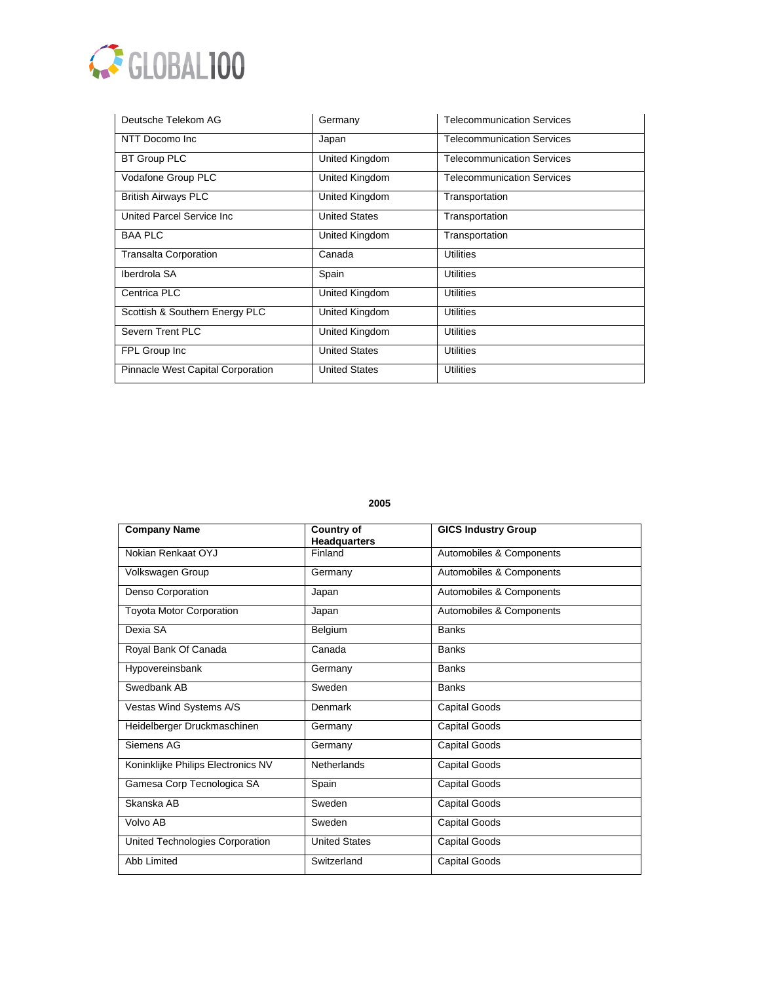

| Deutsche Telekom AG               | Germany              | <b>Telecommunication Services</b> |
|-----------------------------------|----------------------|-----------------------------------|
| NTT Docomo Inc                    | Japan                | <b>Telecommunication Services</b> |
| <b>BT Group PLC</b>               | United Kingdom       | <b>Telecommunication Services</b> |
| Vodafone Group PLC                | United Kingdom       | <b>Telecommunication Services</b> |
| <b>British Airways PLC</b>        | United Kingdom       | Transportation                    |
| United Parcel Service Inc.        | <b>United States</b> | Transportation                    |
| <b>BAA PLC</b>                    | United Kingdom       | Transportation                    |
| <b>Transalta Corporation</b>      | Canada               | <b>Utilities</b>                  |
| Iberdrola SA                      | Spain                | <b>Utilities</b>                  |
| Centrica PLC                      | United Kingdom       | <b>Utilities</b>                  |
| Scottish & Southern Energy PLC    | United Kingdom       | <b>Utilities</b>                  |
| Severn Trent PLC                  | United Kingdom       | <b>Utilities</b>                  |
| FPL Group Inc                     | <b>United States</b> | <b>Utilities</b>                  |
| Pinnacle West Capital Corporation | <b>United States</b> | <b>Utilities</b>                  |

| <b>Company Name</b>                | <b>Country of</b><br><b>Headquarters</b> | <b>GICS Industry Group</b> |
|------------------------------------|------------------------------------------|----------------------------|
| Nokian Renkaat OYJ                 | Finland                                  | Automobiles & Components   |
| Volkswagen Group                   | Germany                                  | Automobiles & Components   |
| Denso Corporation                  | Japan                                    | Automobiles & Components   |
| <b>Toyota Motor Corporation</b>    | Japan                                    | Automobiles & Components   |
| Dexia SA                           | Belgium                                  | <b>Banks</b>               |
| Royal Bank Of Canada               | Canada                                   | <b>Banks</b>               |
| Hypovereinsbank                    | Germany                                  | <b>Banks</b>               |
| Swedbank AB                        | Sweden                                   | <b>Banks</b>               |
| Vestas Wind Systems A/S            | Denmark                                  | <b>Capital Goods</b>       |
| Heidelberger Druckmaschinen        | Germany                                  | <b>Capital Goods</b>       |
| Siemens AG                         | Germany                                  | <b>Capital Goods</b>       |
| Koninklijke Philips Electronics NV | Netherlands                              | <b>Capital Goods</b>       |
| Gamesa Corp Tecnologica SA         | Spain                                    | <b>Capital Goods</b>       |
| Skanska AB                         | Sweden                                   | <b>Capital Goods</b>       |
| Volvo AB                           | Sweden                                   | <b>Capital Goods</b>       |
| United Technologies Corporation    | <b>United States</b>                     | <b>Capital Goods</b>       |
| <b>Abb Limited</b>                 | Switzerland                              | <b>Capital Goods</b>       |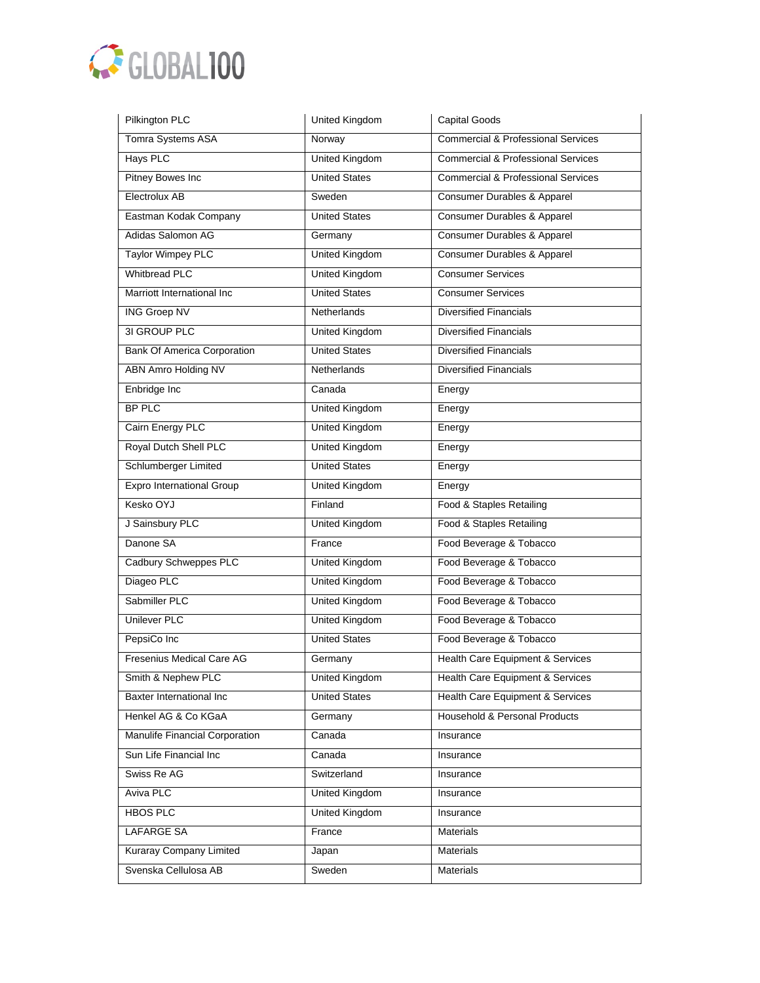

| Pilkington PLC                     | United Kingdom        | <b>Capital Goods</b>                          |
|------------------------------------|-----------------------|-----------------------------------------------|
| Tomra Systems ASA                  | Norway                | <b>Commercial &amp; Professional Services</b> |
| <b>Hays PLC</b>                    | <b>United Kingdom</b> | <b>Commercial &amp; Professional Services</b> |
| <b>Pitney Bowes Inc</b>            | <b>United States</b>  | <b>Commercial &amp; Professional Services</b> |
| Electrolux AB                      | Sweden                | <b>Consumer Durables &amp; Apparel</b>        |
| Eastman Kodak Company              | <b>United States</b>  | Consumer Durables & Apparel                   |
| Adidas Salomon AG                  | Germany               | Consumer Durables & Apparel                   |
| <b>Taylor Wimpey PLC</b>           | <b>United Kingdom</b> | Consumer Durables & Apparel                   |
| <b>Whitbread PLC</b>               | <b>United Kingdom</b> | <b>Consumer Services</b>                      |
| Marriott International Inc         | <b>United States</b>  | <b>Consumer Services</b>                      |
| <b>ING Groep NV</b>                | Netherlands           | <b>Diversified Financials</b>                 |
| 3I GROUP PLC                       | United Kingdom        | <b>Diversified Financials</b>                 |
| <b>Bank Of America Corporation</b> | <b>United States</b>  | <b>Diversified Financials</b>                 |
| <b>ABN Amro Holding NV</b>         | Netherlands           | <b>Diversified Financials</b>                 |
| Enbridge Inc                       | Canada                | Energy                                        |
| <b>BP PLC</b>                      | <b>United Kingdom</b> | Energy                                        |
| Cairn Energy PLC                   | <b>United Kingdom</b> | Energy                                        |
| Royal Dutch Shell PLC              | <b>United Kingdom</b> | Energy                                        |
| Schlumberger Limited               | <b>United States</b>  | Energy                                        |
| <b>Expro International Group</b>   | <b>United Kingdom</b> | Energy                                        |
| Kesko OYJ                          | Finland               | Food & Staples Retailing                      |
| J Sainsbury PLC                    | <b>United Kingdom</b> | Food & Staples Retailing                      |
| Danone SA                          | France                | Food Beverage & Tobacco                       |
| Cadbury Schweppes PLC              | United Kingdom        | Food Beverage & Tobacco                       |
| Diageo PLC                         | <b>United Kingdom</b> | Food Beverage & Tobacco                       |
| Sabmiller PLC                      | <b>United Kingdom</b> | Food Beverage & Tobacco                       |
| <b>Unilever PLC</b>                | <b>United Kingdom</b> | Food Beverage & Tobacco                       |
| PepsiCo Inc                        | <b>United States</b>  | Food Beverage & Tobacco                       |
| Fresenius Medical Care AG          | Germany               | <b>Health Care Equipment &amp; Services</b>   |
| Smith & Nephew PLC                 | United Kingdom        | Health Care Equipment & Services              |
| Baxter International Inc           | <b>United States</b>  | Health Care Equipment & Services              |
| Henkel AG & Co KGaA                | Germany               | Household & Personal Products                 |
| Manulife Financial Corporation     | Canada                | Insurance                                     |
| Sun Life Financial Inc             | Canada                | Insurance                                     |
| Swiss Re AG                        | Switzerland           | Insurance                                     |
| Aviva PLC                          | United Kingdom        | Insurance                                     |
| <b>HBOS PLC</b>                    | <b>United Kingdom</b> | Insurance                                     |
| <b>LAFARGE SA</b>                  | France                | <b>Materials</b>                              |
| Kuraray Company Limited            | Japan                 | Materials                                     |
| Svenska Cellulosa AB               | Sweden                | Materials                                     |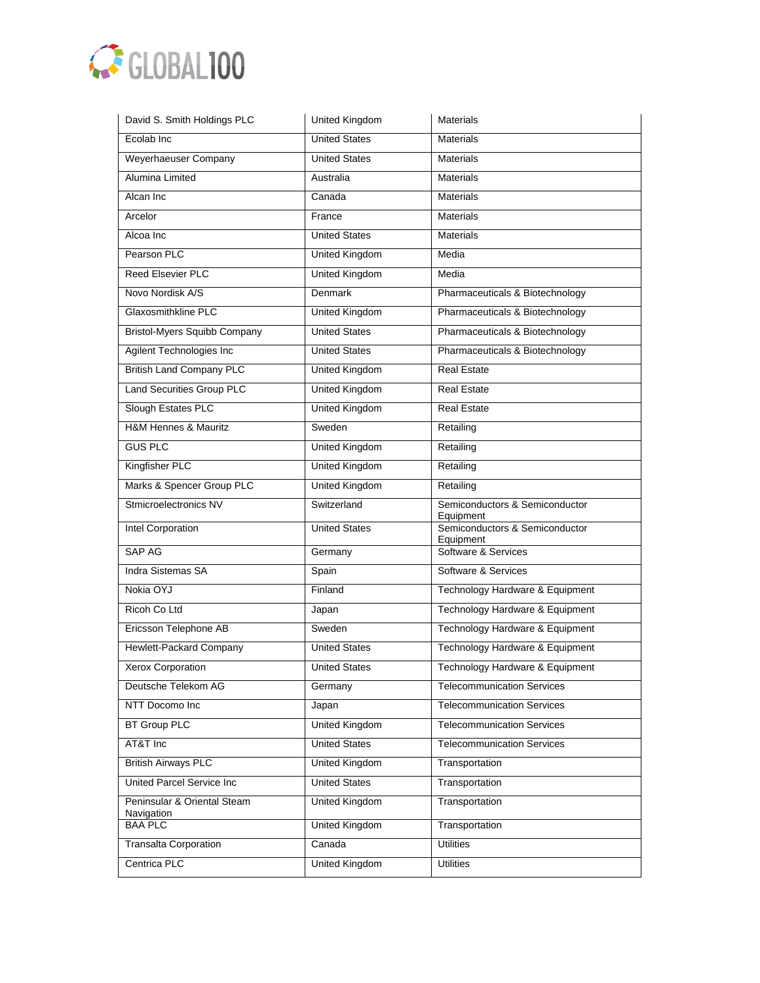

| David S. Smith Holdings PLC                  | United Kingdom        | <b>Materials</b>                            |
|----------------------------------------------|-----------------------|---------------------------------------------|
| Ecolab Inc                                   | <b>United States</b>  | <b>Materials</b>                            |
| Weyerhaeuser Company                         | <b>United States</b>  | <b>Materials</b>                            |
| Alumina Limited                              | Australia             | <b>Materials</b>                            |
| Alcan Inc                                    | Canada                | <b>Materials</b>                            |
| Arcelor                                      | France                | <b>Materials</b>                            |
| Alcoa Inc                                    | <b>United States</b>  | <b>Materials</b>                            |
| Pearson PLC                                  | <b>United Kingdom</b> | Media                                       |
| <b>Reed Elsevier PLC</b>                     | <b>United Kingdom</b> | Media                                       |
| Novo Nordisk A/S                             | <b>Denmark</b>        | Pharmaceuticals & Biotechnology             |
| Glaxosmithkline PLC                          | <b>United Kingdom</b> | Pharmaceuticals & Biotechnology             |
| <b>Bristol-Myers Squibb Company</b>          | <b>United States</b>  | Pharmaceuticals & Biotechnology             |
| Agilent Technologies Inc                     | <b>United States</b>  | Pharmaceuticals & Biotechnology             |
| <b>British Land Company PLC</b>              | United Kingdom        | <b>Real Estate</b>                          |
| Land Securities Group PLC                    | <b>United Kingdom</b> | <b>Real Estate</b>                          |
| Slough Estates PLC                           | <b>United Kingdom</b> | <b>Real Estate</b>                          |
| H&M Hennes & Mauritz                         | Sweden                | Retailing                                   |
| <b>GUS PLC</b>                               | United Kingdom        | Retailing                                   |
| Kingfisher PLC                               | <b>United Kingdom</b> | Retailing                                   |
| Marks & Spencer Group PLC                    | <b>United Kingdom</b> | Retailing                                   |
|                                              |                       |                                             |
| Stmicroelectronics NV                        | Switzerland           | Semiconductors & Semiconductor<br>Equipment |
| Intel Corporation                            | <b>United States</b>  | Semiconductors & Semiconductor              |
| SAP AG                                       | Germany               | Equipment<br>Software & Services            |
| Indra Sistemas SA                            | Spain                 | Software & Services                         |
| Nokia OYJ                                    | Finland               | Technology Hardware & Equipment             |
| Ricoh Co Ltd                                 | Japan                 | Technology Hardware & Equipment             |
| Ericsson Telephone AB                        | Sweden                | Technology Hardware & Equipment             |
| <b>Hewlett-Packard Company</b>               | <b>United States</b>  | Technology Hardware & Equipment             |
| Xerox Corporation                            | <b>United States</b>  | Technology Hardware & Equipment             |
| Deutsche Telekom AG                          | Germany               | <b>Telecommunication Services</b>           |
| NTT Docomo Inc                               | Japan                 | <b>Telecommunication Services</b>           |
| <b>BT Group PLC</b>                          | United Kingdom        | <b>Telecommunication Services</b>           |
| AT&T Inc                                     | <b>United States</b>  | <b>Telecommunication Services</b>           |
| <b>British Airways PLC</b>                   | <b>United Kingdom</b> | Transportation                              |
| <b>United Parcel Service Inc</b>             | <b>United States</b>  | Transportation                              |
| Peninsular & Oriental Steam                  | <b>United Kingdom</b> | Transportation                              |
| Navigation<br><b>BAA PLC</b>                 | <b>United Kingdom</b> | Transportation                              |
| <b>Transalta Corporation</b><br>Centrica PLC | Canada                | <b>Utilities</b>                            |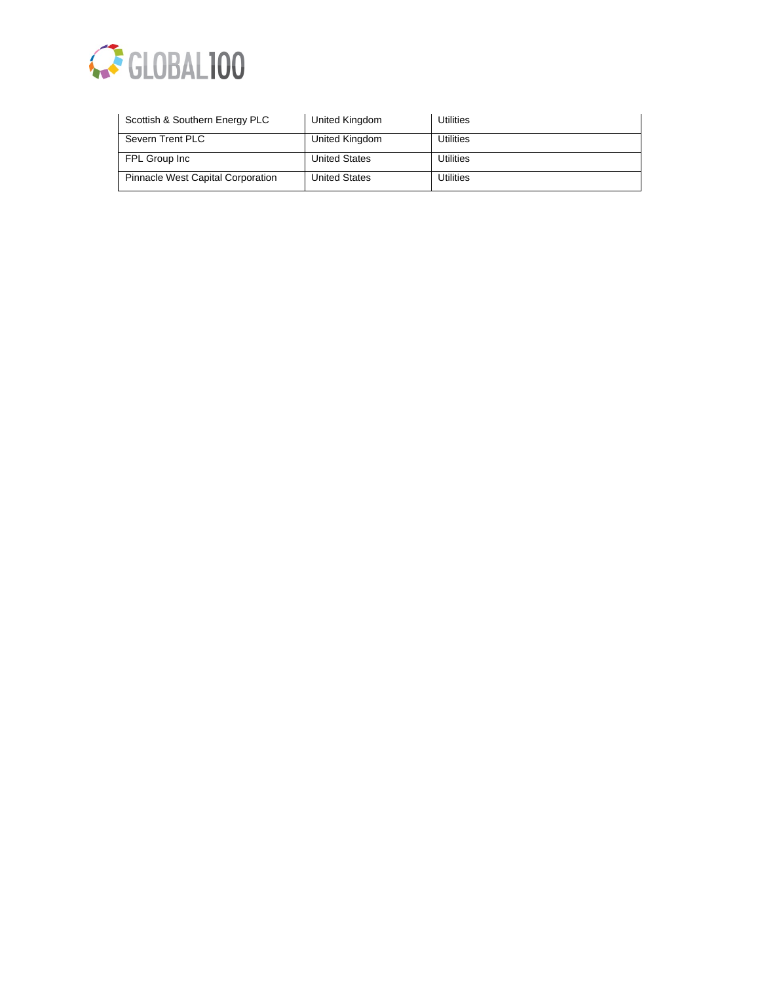

| Scottish & Southern Energy PLC           | United Kingdom       | Utilities        |
|------------------------------------------|----------------------|------------------|
| Severn Trent PLC                         | United Kingdom       | Utilities        |
| FPL Group Inc                            | <b>United States</b> | <b>Utilities</b> |
| <b>Pinnacle West Capital Corporation</b> | <b>United States</b> | <b>Utilities</b> |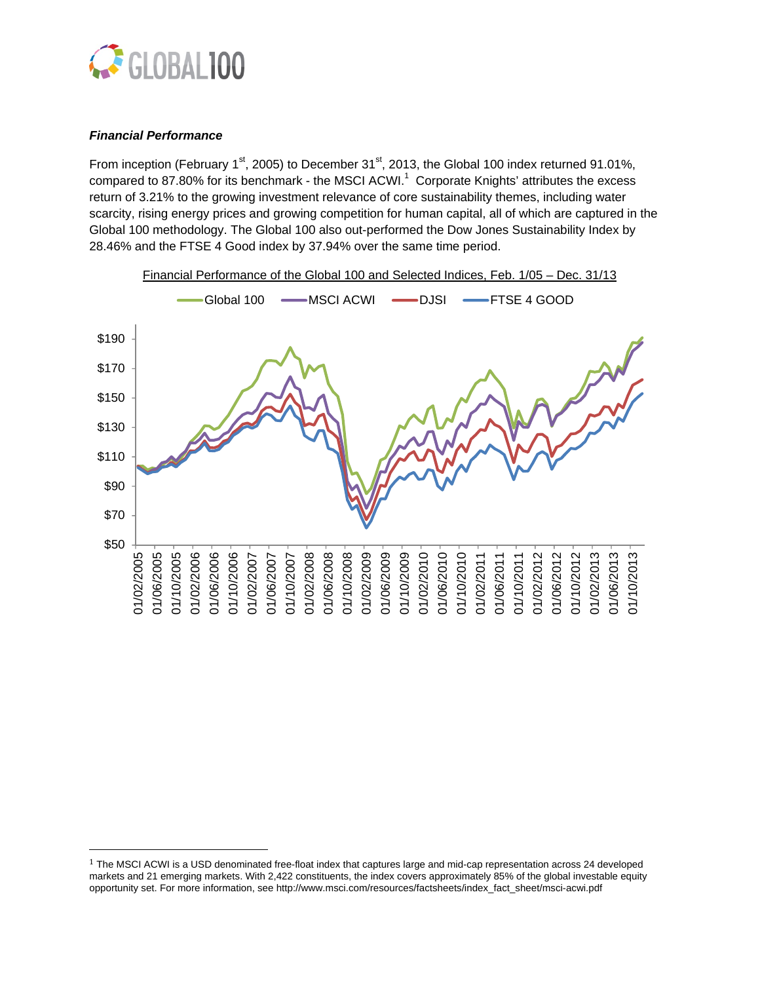

# *Financial Performance*

 

From inception (February 1<sup>st</sup>, 2005) to December 31<sup>st</sup>, 2013, the Global 100 index returned 91.01%, compared to 87.80% for its benchmark - the MSCI ACWI.<sup>1</sup> Corporate Knights' attributes the excess return of 3.21% to the growing investment relevance of core sustainability themes, including water scarcity, rising energy prices and growing competition for human capital, all of which are captured in the Global 100 methodology. The Global 100 also out-performed the Dow Jones Sustainability Index by 28.46% and the FTSE 4 Good index by 37.94% over the same time period.



 $1$  The MSCI ACWI is a USD denominated free-float index that captures large and mid-cap representation across 24 developed markets and 21 emerging markets. With 2,422 constituents, the index covers approximately 85% of the global investable equity opportunity set. For more information, see http://www.msci.com/resources/factsheets/index\_fact\_sheet/msci-acwi.pdf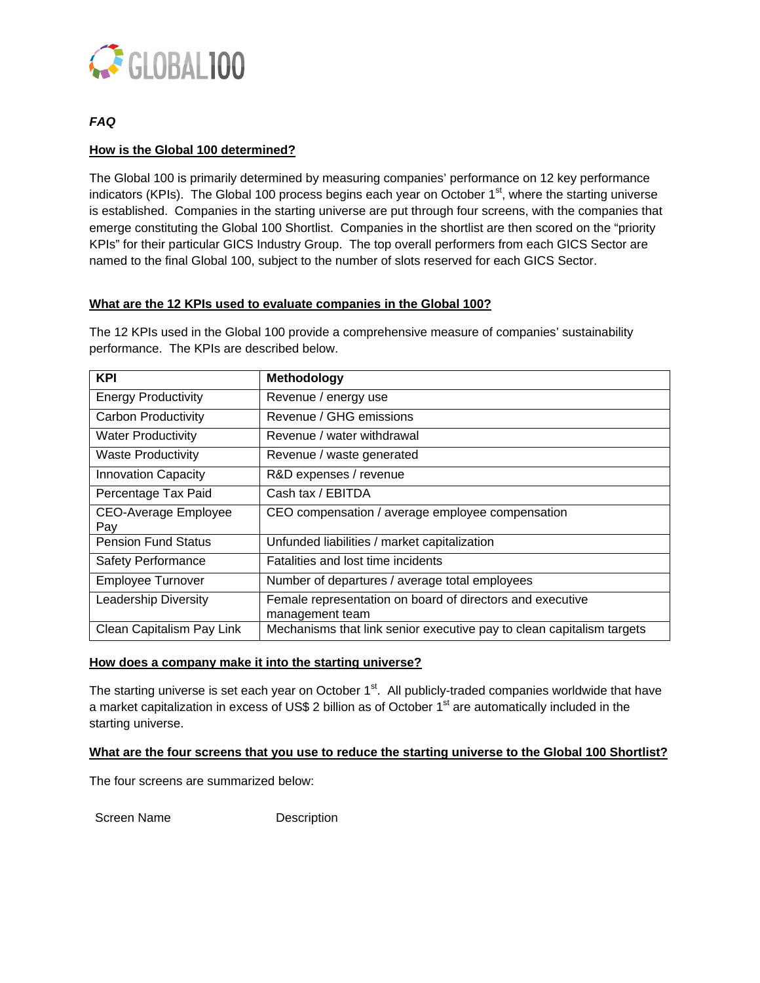

# *FAQ*

# **How is the Global 100 determined?**

The Global 100 is primarily determined by measuring companies' performance on 12 key performance indicators (KPIs). The Global 100 process begins each year on October 1<sup>st</sup>, where the starting universe is established. Companies in the starting universe are put through four screens, with the companies that emerge constituting the Global 100 Shortlist. Companies in the shortlist are then scored on the "priority KPIs" for their particular GICS Industry Group. The top overall performers from each GICS Sector are named to the final Global 100, subject to the number of slots reserved for each GICS Sector.

# **What are the 12 KPIs used to evaluate companies in the Global 100?**

The 12 KPIs used in the Global 100 provide a comprehensive measure of companies' sustainability performance. The KPIs are described below.

| <b>KPI</b>                         | Methodology                                                                  |
|------------------------------------|------------------------------------------------------------------------------|
| <b>Energy Productivity</b>         | Revenue / energy use                                                         |
| <b>Carbon Productivity</b>         | Revenue / GHG emissions                                                      |
| <b>Water Productivity</b>          | Revenue / water withdrawal                                                   |
| <b>Waste Productivity</b>          | Revenue / waste generated                                                    |
| <b>Innovation Capacity</b>         | R&D expenses / revenue                                                       |
| Percentage Tax Paid                | Cash tax / EBITDA                                                            |
| <b>CEO-Average Employee</b><br>Pay | CEO compensation / average employee compensation                             |
| <b>Pension Fund Status</b>         | Unfunded liabilities / market capitalization                                 |
| <b>Safety Performance</b>          | Fatalities and lost time incidents                                           |
| <b>Employee Turnover</b>           | Number of departures / average total employees                               |
| Leadership Diversity               | Female representation on board of directors and executive<br>management team |
| Clean Capitalism Pay Link          | Mechanisms that link senior executive pay to clean capitalism targets        |

## **How does a company make it into the starting universe?**

The starting universe is set each year on October 1<sup>st</sup>. All publicly-traded companies worldwide that have a market capitalization in excess of US\$ 2 billion as of October  $1<sup>st</sup>$  are automatically included in the starting universe.

## **What are the four screens that you use to reduce the starting universe to the Global 100 Shortlist?**

The four screens are summarized below:

Screen Name Description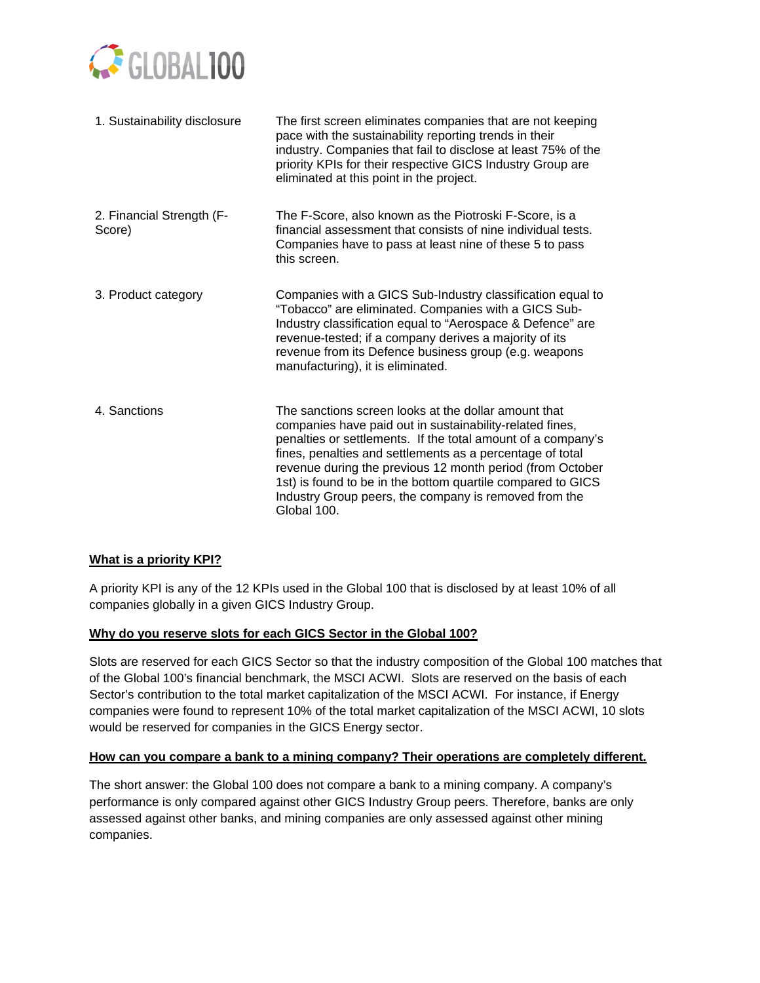

| 1. Sustainability disclosure        | The first screen eliminates companies that are not keeping<br>pace with the sustainability reporting trends in their<br>industry. Companies that fail to disclose at least 75% of the<br>priority KPIs for their respective GICS Industry Group are<br>eliminated at this point in the project.                                                                                                                                                   |
|-------------------------------------|---------------------------------------------------------------------------------------------------------------------------------------------------------------------------------------------------------------------------------------------------------------------------------------------------------------------------------------------------------------------------------------------------------------------------------------------------|
| 2. Financial Strength (F-<br>Score) | The F-Score, also known as the Piotroski F-Score, is a<br>financial assessment that consists of nine individual tests.<br>Companies have to pass at least nine of these 5 to pass<br>this screen.                                                                                                                                                                                                                                                 |
| 3. Product category                 | Companies with a GICS Sub-Industry classification equal to<br>"Tobacco" are eliminated. Companies with a GICS Sub-<br>Industry classification equal to "Aerospace & Defence" are<br>revenue-tested; if a company derives a majority of its<br>revenue from its Defence business group (e.g. weapons<br>manufacturing), it is eliminated.                                                                                                          |
| 4. Sanctions                        | The sanctions screen looks at the dollar amount that<br>companies have paid out in sustainability-related fines,<br>penalties or settlements. If the total amount of a company's<br>fines, penalties and settlements as a percentage of total<br>revenue during the previous 12 month period (from October<br>1st) is found to be in the bottom quartile compared to GICS<br>Industry Group peers, the company is removed from the<br>Global 100. |

# **What is a priority KPI?**

A priority KPI is any of the 12 KPIs used in the Global 100 that is disclosed by at least 10% of all companies globally in a given GICS Industry Group.

# **Why do you reserve slots for each GICS Sector in the Global 100?**

Slots are reserved for each GICS Sector so that the industry composition of the Global 100 matches that of the Global 100's financial benchmark, the MSCI ACWI. Slots are reserved on the basis of each Sector's contribution to the total market capitalization of the MSCI ACWI. For instance, if Energy companies were found to represent 10% of the total market capitalization of the MSCI ACWI, 10 slots would be reserved for companies in the GICS Energy sector.

# **How can you compare a bank to a mining company? Their operations are completely different.**

The short answer: the Global 100 does not compare a bank to a mining company. A company's performance is only compared against other GICS Industry Group peers. Therefore, banks are only assessed against other banks, and mining companies are only assessed against other mining companies.